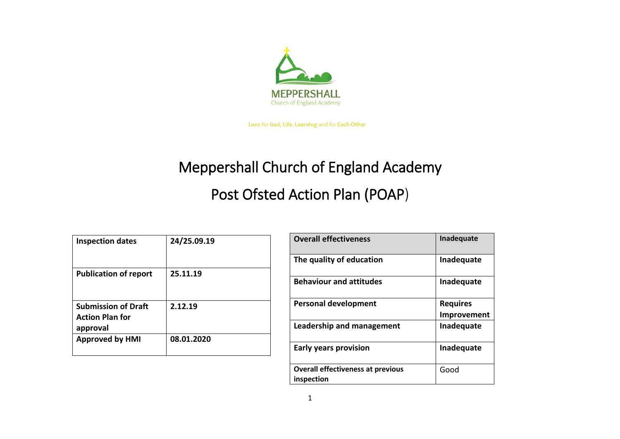

Love for God, Life, Learning and for Each Other

## Meppershall Church of England Academy

## Post Ofsted Action Plan (POAP)

| <b>Inspection dates</b>                                          | 24/25.09.19 |
|------------------------------------------------------------------|-------------|
| <b>Publication of report</b>                                     | 25.11.19    |
| <b>Submission of Draft</b><br><b>Action Plan for</b><br>approval | 2.12.19     |
| <b>Approved by HMI</b>                                           | 08.01.2020  |

| <b>Overall effectiveness</b>                           | Inadequate      |
|--------------------------------------------------------|-----------------|
| The quality of education                               | Inadequate      |
| <b>Behaviour and attitudes</b>                         | Inadequate      |
| <b>Personal development</b>                            | <b>Requires</b> |
|                                                        | Improvement     |
| Leadership and management                              | Inadequate      |
| <b>Early years provision</b>                           | Inadequate      |
| <b>Overall effectiveness at previous</b><br>inspection | Good            |
|                                                        |                 |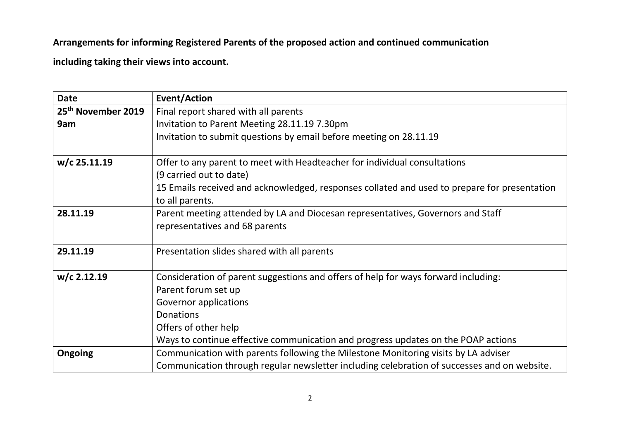## **Arrangements for informing Registered Parents of the proposed action and continued communication**

**including taking their views into account.**

| <b>Date</b>                    | <b>Event/Action</b>                                                                                                                                                                                                                                                 |
|--------------------------------|---------------------------------------------------------------------------------------------------------------------------------------------------------------------------------------------------------------------------------------------------------------------|
| 25 <sup>th</sup> November 2019 | Final report shared with all parents                                                                                                                                                                                                                                |
| 9am                            | Invitation to Parent Meeting 28.11.19 7.30pm                                                                                                                                                                                                                        |
|                                | Invitation to submit questions by email before meeting on 28.11.19                                                                                                                                                                                                  |
| $w/c$ 25.11.19                 | Offer to any parent to meet with Headteacher for individual consultations                                                                                                                                                                                           |
|                                | (9 carried out to date)                                                                                                                                                                                                                                             |
|                                | 15 Emails received and acknowledged, responses collated and used to prepare for presentation<br>to all parents.                                                                                                                                                     |
| 28.11.19                       | Parent meeting attended by LA and Diocesan representatives, Governors and Staff<br>representatives and 68 parents                                                                                                                                                   |
| 29.11.19                       | Presentation slides shared with all parents                                                                                                                                                                                                                         |
| $w/c$ 2.12.19                  | Consideration of parent suggestions and offers of help for ways forward including:<br>Parent forum set up<br><b>Governor applications</b><br>Donations<br>Offers of other help<br>Ways to continue effective communication and progress updates on the POAP actions |
| <b>Ongoing</b>                 | Communication with parents following the Milestone Monitoring visits by LA adviser<br>Communication through regular newsletter including celebration of successes and on website.                                                                                   |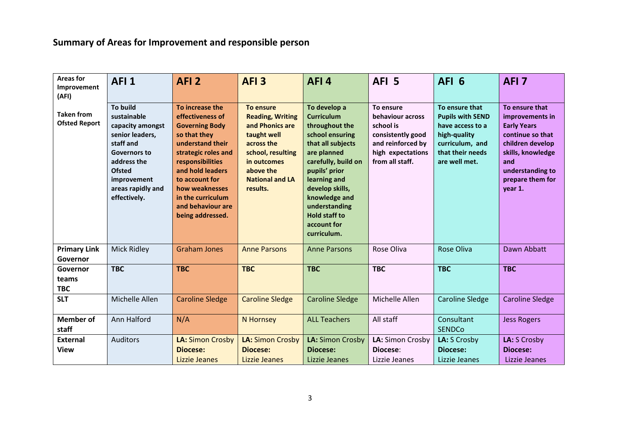## **Summary of Areas for Improvement and responsible person**

| <b>Areas for</b><br>Improvement<br>(AFI)  | AFI <sub>1</sub>                                                                                                                                                                       | AFI <sub>2</sub>                                                                                                                                                                                                                                                  | AFI <sub>3</sub>                                                                                                                                                            | AFI4                                                                                                                                                                                                                                                                          | AFI <sub>5</sub>                                                                                                             | AFI <sub>6</sub>                                                                                                                      | AFI <sub>7</sub>                                                                                                                                                               |
|-------------------------------------------|----------------------------------------------------------------------------------------------------------------------------------------------------------------------------------------|-------------------------------------------------------------------------------------------------------------------------------------------------------------------------------------------------------------------------------------------------------------------|-----------------------------------------------------------------------------------------------------------------------------------------------------------------------------|-------------------------------------------------------------------------------------------------------------------------------------------------------------------------------------------------------------------------------------------------------------------------------|------------------------------------------------------------------------------------------------------------------------------|---------------------------------------------------------------------------------------------------------------------------------------|--------------------------------------------------------------------------------------------------------------------------------------------------------------------------------|
| <b>Taken from</b><br><b>Ofsted Report</b> | <b>To build</b><br>sustainable<br>capacity amongst<br>senior leaders,<br>staff and<br>Governors to<br>address the<br><b>Ofsted</b><br>improvement<br>areas rapidly and<br>effectively. | To increase the<br>effectiveness of<br><b>Governing Body</b><br>so that they<br>understand their<br>strategic roles and<br>responsibilities<br>and hold leaders<br>to account for<br>how weaknesses<br>in the curriculum<br>and behaviour are<br>being addressed. | To ensure<br><b>Reading, Writing</b><br>and Phonics are<br>taught well<br>across the<br>school, resulting<br>in outcomes<br>above the<br><b>National and LA</b><br>results. | To develop a<br><b>Curriculum</b><br>throughout the<br>school ensuring<br>that all subjects<br>are planned<br>carefully, build on<br>pupils' prior<br>learning and<br>develop skills,<br>knowledge and<br>understanding<br><b>Hold staff to</b><br>account for<br>curriculum. | To ensure<br>behaviour across<br>school is<br>consistently good<br>and reinforced by<br>high expectations<br>from all staff. | To ensure that<br><b>Pupils with SEND</b><br>have access to a<br>high-quality<br>curriculum, and<br>that their needs<br>are well met. | To ensure that<br>improvements in<br><b>Early Years</b><br>continue so that<br>children develop<br>skills, knowledge<br>and<br>understanding to<br>prepare them for<br>year 1. |
| <b>Primary Link</b><br>Governor           | <b>Mick Ridley</b>                                                                                                                                                                     | <b>Graham Jones</b>                                                                                                                                                                                                                                               | <b>Anne Parsons</b>                                                                                                                                                         | <b>Anne Parsons</b>                                                                                                                                                                                                                                                           | Rose Oliva                                                                                                                   | <b>Rose Oliva</b>                                                                                                                     | Dawn Abbatt                                                                                                                                                                    |
| Governor<br>teams<br><b>TBC</b>           | <b>TBC</b>                                                                                                                                                                             | <b>TBC</b>                                                                                                                                                                                                                                                        | <b>TBC</b>                                                                                                                                                                  | <b>TBC</b>                                                                                                                                                                                                                                                                    | <b>TBC</b>                                                                                                                   | <b>TBC</b>                                                                                                                            | <b>TBC</b>                                                                                                                                                                     |
| <b>SLT</b>                                | Michelle Allen                                                                                                                                                                         | <b>Caroline Sledge</b>                                                                                                                                                                                                                                            | <b>Caroline Sledge</b>                                                                                                                                                      | <b>Caroline Sledge</b>                                                                                                                                                                                                                                                        | Michelle Allen                                                                                                               | <b>Caroline Sledge</b>                                                                                                                | <b>Caroline Sledge</b>                                                                                                                                                         |
| <b>Member of</b><br>staff                 | Ann Halford                                                                                                                                                                            | N/A                                                                                                                                                                                                                                                               | N Hornsey                                                                                                                                                                   | <b>ALL Teachers</b>                                                                                                                                                                                                                                                           | All staff                                                                                                                    | Consultant<br><b>SENDCo</b>                                                                                                           | <b>Jess Rogers</b>                                                                                                                                                             |
| <b>External</b><br><b>View</b>            | <b>Auditors</b>                                                                                                                                                                        | <b>LA: Simon Crosby</b><br>Diocese:<br>Lizzie Jeanes                                                                                                                                                                                                              | <b>LA: Simon Crosby</b><br>Diocese:<br>Lizzie Jeanes                                                                                                                        | LA: Simon Crosby<br>Diocese:<br>Lizzie Jeanes                                                                                                                                                                                                                                 | LA: Simon Crosby<br>Diocese:<br>Lizzie Jeanes                                                                                | LA: S Crosby<br>Diocese:<br>Lizzie Jeanes                                                                                             | LA: S Crosby<br>Diocese:<br>Lizzie Jeanes                                                                                                                                      |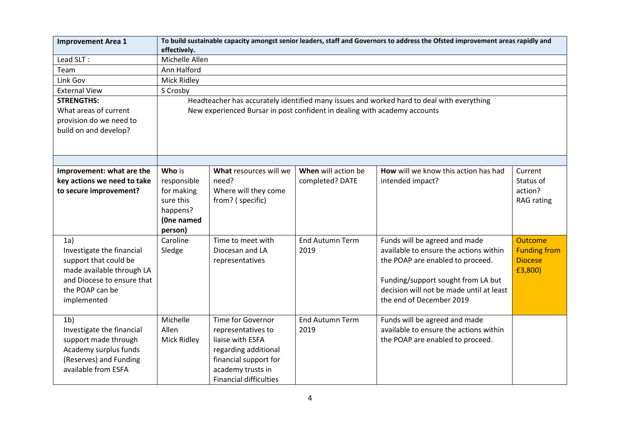| <b>Improvement Area 1</b>   | effectively.   | To build sustainable capacity amongst senior leaders, staff and Governors to address the Ofsted improvement areas rapidly and |                        |                                                                                           |                     |  |  |  |
|-----------------------------|----------------|-------------------------------------------------------------------------------------------------------------------------------|------------------------|-------------------------------------------------------------------------------------------|---------------------|--|--|--|
| Lead SLT:                   | Michelle Allen |                                                                                                                               |                        |                                                                                           |                     |  |  |  |
| Team                        | Ann Halford    |                                                                                                                               |                        |                                                                                           |                     |  |  |  |
| Link Gov                    | Mick Ridley    |                                                                                                                               |                        |                                                                                           |                     |  |  |  |
| <b>External View</b>        | S Crosby       |                                                                                                                               |                        |                                                                                           |                     |  |  |  |
| <b>STRENGTHS:</b>           |                |                                                                                                                               |                        | Headteacher has accurately identified many issues and worked hard to deal with everything |                     |  |  |  |
| What areas of current       |                | New experienced Bursar in post confident in dealing with academy accounts                                                     |                        |                                                                                           |                     |  |  |  |
| provision do we need to     |                |                                                                                                                               |                        |                                                                                           |                     |  |  |  |
| build on and develop?       |                |                                                                                                                               |                        |                                                                                           |                     |  |  |  |
|                             |                |                                                                                                                               |                        |                                                                                           |                     |  |  |  |
|                             |                |                                                                                                                               |                        |                                                                                           |                     |  |  |  |
|                             |                |                                                                                                                               |                        |                                                                                           |                     |  |  |  |
| Improvement: what are the   | Who is         | What resources will we                                                                                                        | When will action be    | How will we know this action has had                                                      | Current             |  |  |  |
| key actions we need to take | responsible    | need?                                                                                                                         | completed? DATE        | intended impact?                                                                          | Status of           |  |  |  |
| to secure improvement?      | for making     | Where will they come                                                                                                          |                        |                                                                                           | action?             |  |  |  |
|                             | sure this      | from? (specific)                                                                                                              |                        |                                                                                           | <b>RAG</b> rating   |  |  |  |
|                             | happens?       |                                                                                                                               |                        |                                                                                           |                     |  |  |  |
|                             | (One named     |                                                                                                                               |                        |                                                                                           |                     |  |  |  |
|                             | person)        |                                                                                                                               |                        |                                                                                           |                     |  |  |  |
| 1a)                         | Caroline       | Time to meet with                                                                                                             | <b>End Autumn Term</b> | Funds will be agreed and made                                                             | <b>Outcome</b>      |  |  |  |
| Investigate the financial   | Sledge         | Diocesan and LA                                                                                                               | 2019                   | available to ensure the actions within                                                    | <b>Funding from</b> |  |  |  |
| support that could be       |                | representatives                                                                                                               |                        | the POAP are enabled to proceed.                                                          | <b>Diocese</b>      |  |  |  |
| made available through LA   |                |                                                                                                                               |                        |                                                                                           | £3,800)             |  |  |  |
| and Diocese to ensure that  |                |                                                                                                                               |                        | Funding/support sought from LA but                                                        |                     |  |  |  |
| the POAP can be             |                |                                                                                                                               |                        | decision will not be made until at least                                                  |                     |  |  |  |
| implemented                 |                |                                                                                                                               |                        | the end of December 2019                                                                  |                     |  |  |  |
|                             |                |                                                                                                                               |                        |                                                                                           |                     |  |  |  |
| 1 <sub>b</sub>              | Michelle       | <b>Time for Governor</b>                                                                                                      | <b>End Autumn Term</b> | Funds will be agreed and made                                                             |                     |  |  |  |
| Investigate the financial   | Allen          | representatives to                                                                                                            | 2019                   | available to ensure the actions within                                                    |                     |  |  |  |
| support made through        | Mick Ridley    | liaise with ESFA                                                                                                              |                        | the POAP are enabled to proceed.                                                          |                     |  |  |  |
| Academy surplus funds       |                | regarding additional                                                                                                          |                        |                                                                                           |                     |  |  |  |
| (Reserves) and Funding      |                | financial support for                                                                                                         |                        |                                                                                           |                     |  |  |  |
| available from ESFA         |                | academy trusts in                                                                                                             |                        |                                                                                           |                     |  |  |  |
|                             |                | <b>Financial difficulties</b>                                                                                                 |                        |                                                                                           |                     |  |  |  |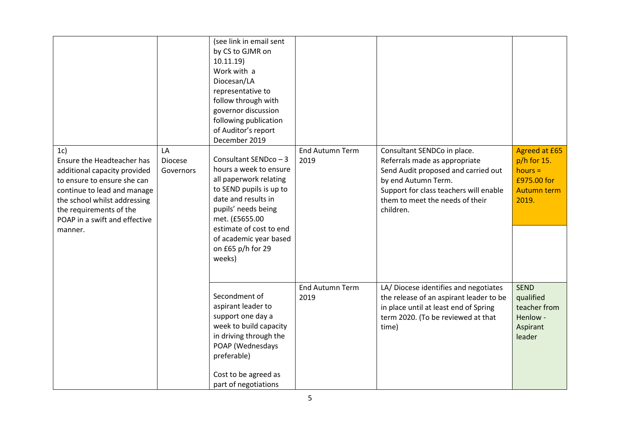|                                                                                                                                                                                                                                        |                                   | (see link in email sent<br>by CS to GJMR on<br>10.11.19<br>Work with a<br>Diocesan/LA<br>representative to<br>follow through with<br>governor discussion<br>following publication<br>of Auditor's report<br>December 2019                                |                                |                                                                                                                                                                                                                      |                                                                                           |
|----------------------------------------------------------------------------------------------------------------------------------------------------------------------------------------------------------------------------------------|-----------------------------------|----------------------------------------------------------------------------------------------------------------------------------------------------------------------------------------------------------------------------------------------------------|--------------------------------|----------------------------------------------------------------------------------------------------------------------------------------------------------------------------------------------------------------------|-------------------------------------------------------------------------------------------|
| 1c)<br>Ensure the Headteacher has<br>additional capacity provided<br>to ensure to ensure she can<br>continue to lead and manage<br>the school whilst addressing<br>the requirements of the<br>POAP in a swift and effective<br>manner. | LA<br><b>Diocese</b><br>Governors | Consultant SENDco - 3<br>hours a week to ensure<br>all paperwork relating<br>to SEND pupils is up to<br>date and results in<br>pupils' needs being<br>met. (£5655.00<br>estimate of cost to end<br>of academic year based<br>on £65 p/h for 29<br>weeks) | <b>End Autumn Term</b><br>2019 | Consultant SENDCo in place.<br>Referrals made as appropriate<br>Send Audit proposed and carried out<br>by end Autumn Term.<br>Support for class teachers will enable<br>them to meet the needs of their<br>children. | <b>Agreed at £65</b><br>$p/h$ for 15.<br>$hours =$<br>£975.00 for<br>Autumn term<br>2019. |
|                                                                                                                                                                                                                                        |                                   | Secondment of<br>aspirant leader to<br>support one day a<br>week to build capacity<br>in driving through the<br>POAP (Wednesdays<br>preferable)<br>Cost to be agreed as<br>part of negotiations                                                          | <b>End Autumn Term</b><br>2019 | LA/ Diocese identifies and negotiates<br>the release of an aspirant leader to be<br>in place until at least end of Spring<br>term 2020. (To be reviewed at that<br>time)                                             | <b>SEND</b><br>qualified<br>teacher from<br>Henlow -<br>Aspirant<br>leader                |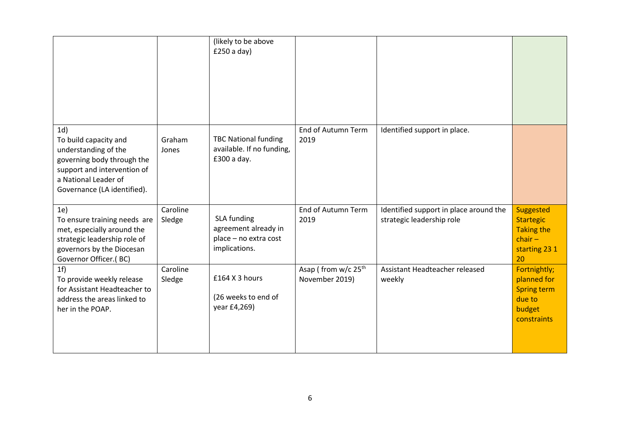|                                                                                                                                                                          |                    | (likely to be above<br>£250a day)                                             |                                                   |                                                                     |                                                                                      |
|--------------------------------------------------------------------------------------------------------------------------------------------------------------------------|--------------------|-------------------------------------------------------------------------------|---------------------------------------------------|---------------------------------------------------------------------|--------------------------------------------------------------------------------------|
| 1d)<br>To build capacity and<br>understanding of the<br>governing body through the<br>support and intervention of<br>a National Leader of<br>Governance (LA identified). | Graham<br>Jones    | <b>TBC National funding</b><br>available. If no funding,<br>£300 a day.       | End of Autumn Term<br>2019                        | Identified support in place.                                        |                                                                                      |
| 1e)<br>To ensure training needs are<br>met, especially around the<br>strategic leadership role of<br>governors by the Diocesan<br>Governor Officer.(BC)                  | Caroline<br>Sledge | SLA funding<br>agreement already in<br>place - no extra cost<br>implications. | End of Autumn Term<br>2019                        | Identified support in place around the<br>strategic leadership role | Suggested<br><b>Startegic</b><br><b>Taking the</b><br>$char-$<br>starting 23 1<br>20 |
| 1 <sub>f</sub><br>To provide weekly release<br>for Assistant Headteacher to<br>address the areas linked to<br>her in the POAP.                                           | Caroline<br>Sledge | £164 X 3 hours<br>(26 weeks to end of<br>year £4,269)                         | Asap (from w/c 25 <sup>th</sup><br>November 2019) | Assistant Headteacher released<br>weekly                            | Fortnightly;<br>planned for<br><b>Spring term</b><br>due to<br>budget<br>constraints |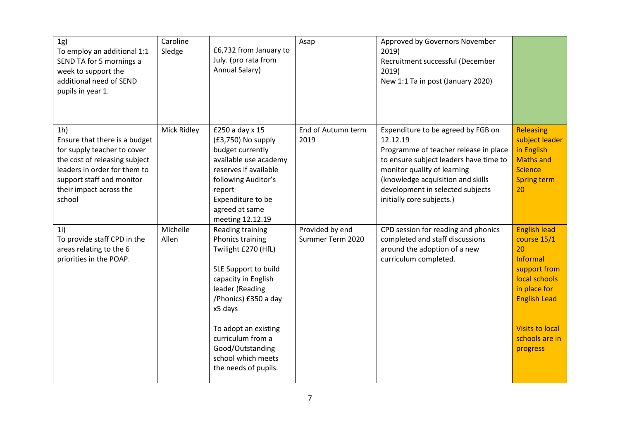| 1g)<br>To employ an additional 1:1<br>SEND TA for 5 mornings a<br>week to support the<br>additional need of SEND<br>pupils in year 1.                                                                             | Caroline<br>Sledge | £6,732 from January to<br>July. (pro rata from<br>Annual Salary)                                                                                                                                                                                                                | Asap                                | Approved by Governors November<br>2019)<br>Recruitment successful (December<br>2019)<br>New 1:1 Ta in post (January 2020)                                                                                                                                              |                                                                                                                                                                                      |
|-------------------------------------------------------------------------------------------------------------------------------------------------------------------------------------------------------------------|--------------------|---------------------------------------------------------------------------------------------------------------------------------------------------------------------------------------------------------------------------------------------------------------------------------|-------------------------------------|------------------------------------------------------------------------------------------------------------------------------------------------------------------------------------------------------------------------------------------------------------------------|--------------------------------------------------------------------------------------------------------------------------------------------------------------------------------------|
| 1 <sub>h</sub><br>Ensure that there is a budget<br>for supply teacher to cover<br>the cost of releasing subject<br>leaders in order for them to<br>support staff and monitor<br>their impact across the<br>school | Mick Ridley        | £250 a day x 15<br>(£3,750) No supply<br>budget currently<br>available use academy<br>reserves if available<br>following Auditor's<br>report<br>Expenditure to be<br>agreed at same<br>meeting 12.12.19                                                                         | End of Autumn term<br>2019          | Expenditure to be agreed by FGB on<br>12.12.19<br>Programme of teacher release in place<br>to ensure subject leaders have time to<br>monitor quality of learning<br>(knowledge acquisition and skills<br>development in selected subjects<br>initially core subjects.) | Releasing<br>subject leader<br>in English<br><b>Maths and</b><br><b>Science</b><br><b>Spring term</b><br>20                                                                          |
| 1i)<br>To provide staff CPD in the<br>areas relating to the 6<br>priorities in the POAP.                                                                                                                          | Michelle<br>Allen  | Reading training<br>Phonics training<br>Twilight £270 (HfL)<br>SLE Support to build<br>capacity in English<br>leader (Reading<br>/Phonics) £350 a day<br>x5 days<br>To adopt an existing<br>curriculum from a<br>Good/Outstanding<br>school which meets<br>the needs of pupils. | Provided by end<br>Summer Term 2020 | CPD session for reading and phonics<br>completed and staff discussions<br>around the adoption of a new<br>curriculum completed.                                                                                                                                        | <b>English lead</b><br>course 15/1<br>20<br>Informal<br>support from<br>local schools<br>in place for<br><b>English Lead</b><br><b>Visits to local</b><br>schools are in<br>progress |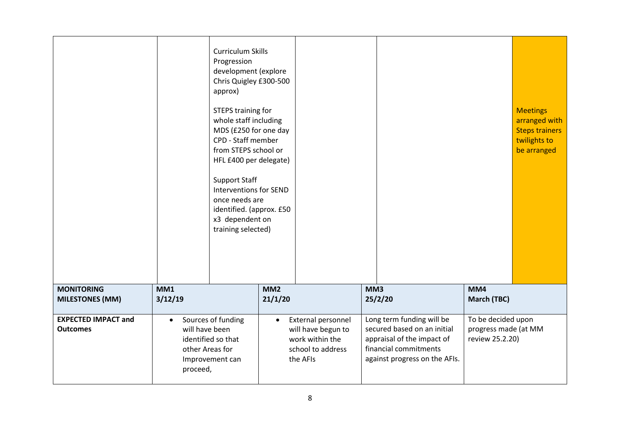|                                               |                             | Curriculum Skills<br>Progression<br>development (explore<br>Chris Quigley £300-500<br>approx)<br>STEPS training for<br>whole staff including<br>MDS (£250 for one day<br>CPD - Staff member<br>from STEPS school or<br>HFL £400 per delegate)<br><b>Support Staff</b><br><b>Interventions for SEND</b><br>once needs are<br>identified. (approx. £50<br>x3 dependent on<br>training selected) |                            |                                          |     |                                                          |                                            | <b>Meetings</b><br>arranged with<br><b>Steps trainers</b><br>twilights to<br>be arranged |
|-----------------------------------------------|-----------------------------|-----------------------------------------------------------------------------------------------------------------------------------------------------------------------------------------------------------------------------------------------------------------------------------------------------------------------------------------------------------------------------------------------|----------------------------|------------------------------------------|-----|----------------------------------------------------------|--------------------------------------------|------------------------------------------------------------------------------------------|
| <b>MONITORING</b><br><b>MILESTONES (MM)</b>   | MM1<br>3/12/19              |                                                                                                                                                                                                                                                                                                                                                                                               | MM <sub>2</sub><br>21/1/20 |                                          | MM3 | 25/2/20                                                  | MM4<br><b>March (TBC)</b>                  |                                                                                          |
|                                               |                             |                                                                                                                                                                                                                                                                                                                                                                                               |                            |                                          |     |                                                          |                                            |                                                                                          |
| <b>EXPECTED IMPACT and</b><br><b>Outcomes</b> | $\bullet$<br>will have been | Sources of funding                                                                                                                                                                                                                                                                                                                                                                            | $\bullet$                  | External personnel<br>will have begun to |     | Long term funding will be<br>secured based on an initial | To be decided upon<br>progress made (at MM |                                                                                          |
|                                               |                             | identified so that                                                                                                                                                                                                                                                                                                                                                                            |                            | work within the                          |     | appraisal of the impact of                               | review 25.2.20)                            |                                                                                          |
|                                               | other Areas for             | Improvement can                                                                                                                                                                                                                                                                                                                                                                               |                            | school to address<br>the AFIs            |     | financial commitments<br>against progress on the AFIs.   |                                            |                                                                                          |
|                                               | proceed,                    |                                                                                                                                                                                                                                                                                                                                                                                               |                            |                                          |     |                                                          |                                            |                                                                                          |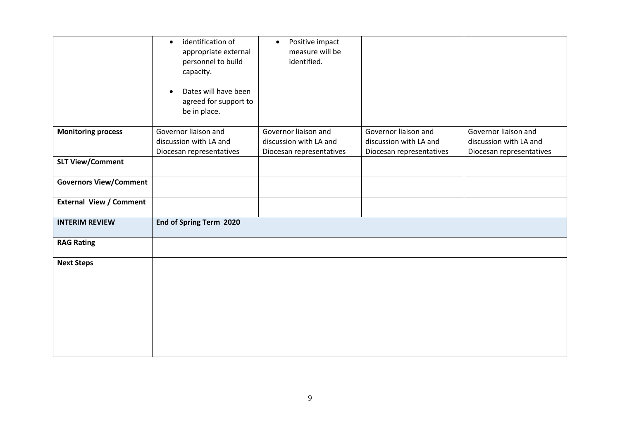|                                | identification of<br>$\bullet$<br>appropriate external<br>personnel to build<br>capacity.<br>Dates will have been<br>agreed for support to<br>be in place. | Positive impact<br>$\bullet$<br>measure will be<br>identified.             |                                                                            |                                                                            |
|--------------------------------|------------------------------------------------------------------------------------------------------------------------------------------------------------|----------------------------------------------------------------------------|----------------------------------------------------------------------------|----------------------------------------------------------------------------|
| <b>Monitoring process</b>      | Governor liaison and<br>discussion with LA and<br>Diocesan representatives                                                                                 | Governor liaison and<br>discussion with LA and<br>Diocesan representatives | Governor liaison and<br>discussion with LA and<br>Diocesan representatives | Governor liaison and<br>discussion with LA and<br>Diocesan representatives |
| <b>SLT View/Comment</b>        |                                                                                                                                                            |                                                                            |                                                                            |                                                                            |
| <b>Governors View/Comment</b>  |                                                                                                                                                            |                                                                            |                                                                            |                                                                            |
| <b>External View / Comment</b> |                                                                                                                                                            |                                                                            |                                                                            |                                                                            |
| <b>INTERIM REVIEW</b>          | End of Spring Term 2020                                                                                                                                    |                                                                            |                                                                            |                                                                            |
| <b>RAG Rating</b>              |                                                                                                                                                            |                                                                            |                                                                            |                                                                            |
| <b>Next Steps</b>              |                                                                                                                                                            |                                                                            |                                                                            |                                                                            |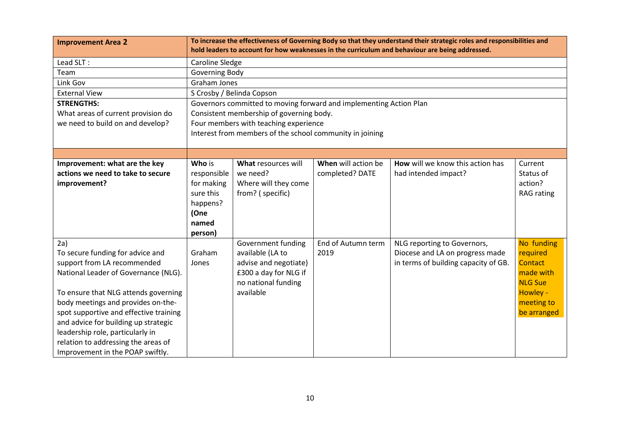| <b>Improvement Area 2</b>              |                        |                                                                    |                     | To increase the effectiveness of Governing Body so that they understand their strategic roles and responsibilities and<br>hold leaders to account for how weaknesses in the curriculum and behaviour are being addressed. |                |
|----------------------------------------|------------------------|--------------------------------------------------------------------|---------------------|---------------------------------------------------------------------------------------------------------------------------------------------------------------------------------------------------------------------------|----------------|
| Lead SLT:                              | <b>Caroline Sledge</b> |                                                                    |                     |                                                                                                                                                                                                                           |                |
| Team                                   | Governing Body         |                                                                    |                     |                                                                                                                                                                                                                           |                |
| Link Gov                               | Graham Jones           |                                                                    |                     |                                                                                                                                                                                                                           |                |
| <b>External View</b>                   |                        | S Crosby / Belinda Copson                                          |                     |                                                                                                                                                                                                                           |                |
| <b>STRENGTHS:</b>                      |                        | Governors committed to moving forward and implementing Action Plan |                     |                                                                                                                                                                                                                           |                |
| What areas of current provision do     |                        | Consistent membership of governing body.                           |                     |                                                                                                                                                                                                                           |                |
| we need to build on and develop?       |                        | Four members with teaching experience                              |                     |                                                                                                                                                                                                                           |                |
|                                        |                        | Interest from members of the school community in joining           |                     |                                                                                                                                                                                                                           |                |
|                                        |                        |                                                                    |                     |                                                                                                                                                                                                                           |                |
| Improvement: what are the key          | Who is                 | What resources will                                                | When will action be | How will we know this action has                                                                                                                                                                                          | Current        |
| actions we need to take to secure      | responsible            | we need?                                                           | completed? DATE     | had intended impact?                                                                                                                                                                                                      | Status of      |
| improvement?                           | for making             | Where will they come                                               |                     |                                                                                                                                                                                                                           | action?        |
|                                        | sure this              | from? (specific)                                                   |                     |                                                                                                                                                                                                                           | RAG rating     |
|                                        | happens?               |                                                                    |                     |                                                                                                                                                                                                                           |                |
|                                        | (One                   |                                                                    |                     |                                                                                                                                                                                                                           |                |
|                                        | named                  |                                                                    |                     |                                                                                                                                                                                                                           |                |
|                                        | person)                |                                                                    |                     |                                                                                                                                                                                                                           |                |
| 2a)                                    |                        | Government funding                                                 | End of Autumn term  | NLG reporting to Governors,                                                                                                                                                                                               | No funding     |
| To secure funding for advice and       | Graham                 | available (LA to                                                   | 2019                | Diocese and LA on progress made                                                                                                                                                                                           | required       |
| support from LA recommended            | Jones                  | advise and negotiate)                                              |                     | in terms of building capacity of GB.                                                                                                                                                                                      | Contact        |
| National Leader of Governance (NLG).   |                        | £300 a day for NLG if                                              |                     |                                                                                                                                                                                                                           | made with      |
|                                        |                        | no national funding                                                |                     |                                                                                                                                                                                                                           | <b>NLG Sue</b> |
| To ensure that NLG attends governing   |                        | available                                                          |                     |                                                                                                                                                                                                                           | Howley -       |
| body meetings and provides on-the-     |                        |                                                                    |                     |                                                                                                                                                                                                                           | meeting to     |
| spot supportive and effective training |                        |                                                                    |                     |                                                                                                                                                                                                                           | be arranged    |
| and advice for building up strategic   |                        |                                                                    |                     |                                                                                                                                                                                                                           |                |
| leadership role, particularly in       |                        |                                                                    |                     |                                                                                                                                                                                                                           |                |
| relation to addressing the areas of    |                        |                                                                    |                     |                                                                                                                                                                                                                           |                |
| Improvement in the POAP swiftly.       |                        |                                                                    |                     |                                                                                                                                                                                                                           |                |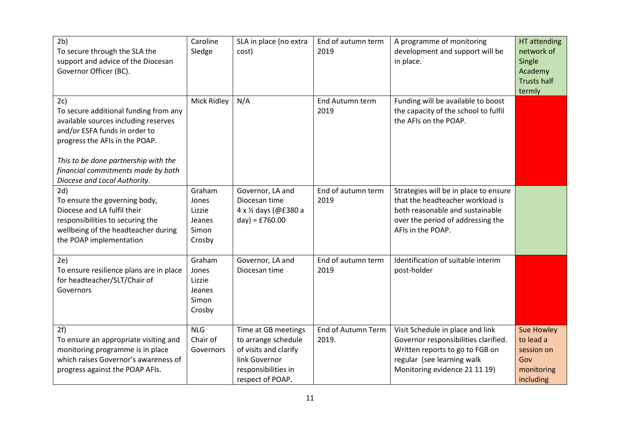| 2 <sub>b</sub><br>To secure through the SLA the<br>support and advice of the Diocesan<br>Governor Officer (BC).                                                                                                                                                       | Caroline<br>Sledge                                     | SLA in place (no extra<br>cost)                                                                                                 | End of autumn term<br>2019  | A programme of monitoring<br>development and support will be<br>in place.                                                                                                  | HT attending<br>network of<br>Single<br>Academy<br><b>Trusts half</b><br>termly |
|-----------------------------------------------------------------------------------------------------------------------------------------------------------------------------------------------------------------------------------------------------------------------|--------------------------------------------------------|---------------------------------------------------------------------------------------------------------------------------------|-----------------------------|----------------------------------------------------------------------------------------------------------------------------------------------------------------------------|---------------------------------------------------------------------------------|
| 2c)<br>To secure additional funding from any<br>available sources including reserves<br>and/or ESFA funds in order to<br>progress the AFIs in the POAP.<br>This to be done partnership with the<br>financial commitments made by both<br>Diocese and Local Authority. | Mick Ridley                                            | N/A                                                                                                                             | End Autumn term<br>2019     | Funding will be available to boost<br>the capacity of the school to fulfil<br>the AFIs on the POAP.                                                                        |                                                                                 |
| 2d)<br>To ensure the governing body,<br>Diocese and LA fulfil their<br>responsibilities to securing the<br>wellbeing of the headteacher during<br>the POAP implementation                                                                                             | Graham<br>Jones<br>Lizzie<br>Jeanes<br>Simon<br>Crosby | Governor, LA and<br>Diocesan time<br>4 x 1/2 days (@£380 a<br>$day) = £760.00$                                                  | End of autumn term<br>2019  | Strategies will be in place to ensure<br>that the headteacher workload is<br>both reasonable and sustainable<br>over the period of addressing the<br>AFIs in the POAP.     |                                                                                 |
| 2e)<br>To ensure resilience plans are in place<br>for headteacher/SLT/Chair of<br>Governors                                                                                                                                                                           | Graham<br>Jones<br>Lizzie<br>Jeanes<br>Simon<br>Crosby | Governor, LA and<br>Diocesan time                                                                                               | End of autumn term<br>2019  | Identification of suitable interim<br>post-holder                                                                                                                          |                                                                                 |
| 2f)<br>To ensure an appropriate visiting and<br>monitoring programme is in place<br>which raises Governor's awareness of<br>progress against the POAP AFIs.                                                                                                           | <b>NLG</b><br>Chair of<br>Governors                    | Time at GB meetings<br>to arrange schedule<br>of visits and clarify<br>link Governor<br>responsibilities in<br>respect of POAP. | End of Autumn Term<br>2019. | Visit Schedule in place and link<br>Governor responsibilities clarified.<br>Written reports to go to FGB on<br>regular (see learning walk<br>Monitoring evidence 21 11 19) | Sue Howley<br>to lead a<br>session on<br>Gov<br>monitoring<br>including         |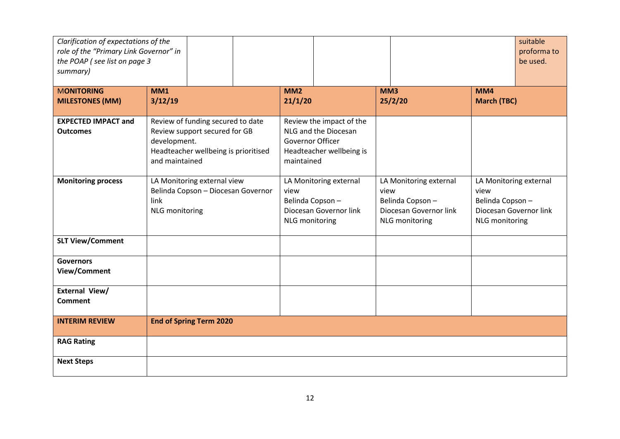| Clarification of expectations of the<br>role of the "Primary Link Governor" in<br>the POAP (see list on page 3<br>summary) |                                                                                                                                              |                                                                                                                       |                                                                                                      | suitable<br>proforma to<br>be used.                                                                  |
|----------------------------------------------------------------------------------------------------------------------------|----------------------------------------------------------------------------------------------------------------------------------------------|-----------------------------------------------------------------------------------------------------------------------|------------------------------------------------------------------------------------------------------|------------------------------------------------------------------------------------------------------|
| <b>MONITORING</b>                                                                                                          | <b>MM1</b>                                                                                                                                   | MM <sub>2</sub>                                                                                                       | MM3                                                                                                  | <b>MM4</b>                                                                                           |
| <b>MILESTONES (MM)</b>                                                                                                     | 3/12/19                                                                                                                                      | 21/1/20                                                                                                               | 25/2/20                                                                                              | <b>March (TBC)</b>                                                                                   |
| <b>EXPECTED IMPACT and</b><br><b>Outcomes</b>                                                                              | Review of funding secured to date<br>Review support secured for GB<br>development.<br>Headteacher wellbeing is prioritised<br>and maintained | Review the impact of the<br>NLG and the Diocesan<br><b>Governor Officer</b><br>Headteacher wellbeing is<br>maintained |                                                                                                      |                                                                                                      |
| <b>Monitoring process</b>                                                                                                  | LA Monitoring external view<br>Belinda Copson - Diocesan Governor<br>link<br><b>NLG</b> monitoring                                           | LA Monitoring external<br>view<br>Belinda Copson-<br>Diocesan Governor link<br><b>NLG</b> monitoring                  | LA Monitoring external<br>view<br>Belinda Copson-<br>Diocesan Governor link<br><b>NLG</b> monitoring | LA Monitoring external<br>view<br>Belinda Copson-<br>Diocesan Governor link<br><b>NLG</b> monitoring |
| <b>SLT View/Comment</b>                                                                                                    |                                                                                                                                              |                                                                                                                       |                                                                                                      |                                                                                                      |
| <b>Governors</b><br>View/Comment                                                                                           |                                                                                                                                              |                                                                                                                       |                                                                                                      |                                                                                                      |
| External View/<br>Comment                                                                                                  |                                                                                                                                              |                                                                                                                       |                                                                                                      |                                                                                                      |
| <b>INTERIM REVIEW</b>                                                                                                      | <b>End of Spring Term 2020</b>                                                                                                               |                                                                                                                       |                                                                                                      |                                                                                                      |
| <b>RAG Rating</b>                                                                                                          |                                                                                                                                              |                                                                                                                       |                                                                                                      |                                                                                                      |
| <b>Next Steps</b>                                                                                                          |                                                                                                                                              |                                                                                                                       |                                                                                                      |                                                                                                      |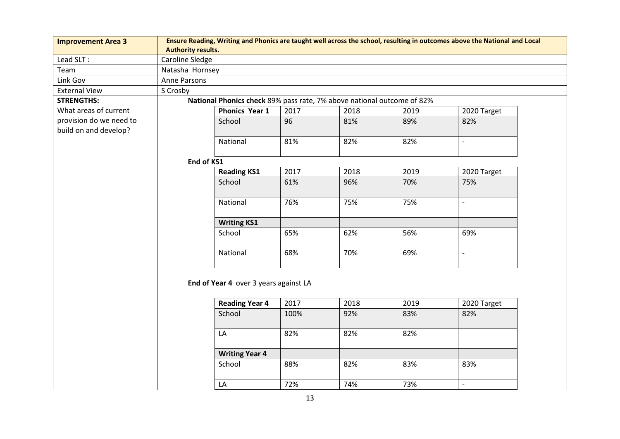| <b>Improvement Area 3</b> | Ensure Reading, Writing and Phonics are taught well across the school, resulting in outcomes above the National and Local<br><b>Authority results.</b> |                                                                        |      |      |      |                          |
|---------------------------|--------------------------------------------------------------------------------------------------------------------------------------------------------|------------------------------------------------------------------------|------|------|------|--------------------------|
| Lead SLT:                 | Caroline Sledge                                                                                                                                        |                                                                        |      |      |      |                          |
| Team                      | Natasha Hornsey                                                                                                                                        |                                                                        |      |      |      |                          |
| Link Gov                  | Anne Parsons                                                                                                                                           |                                                                        |      |      |      |                          |
| <b>External View</b>      | S Crosby                                                                                                                                               |                                                                        |      |      |      |                          |
| <b>STRENGTHS:</b>         |                                                                                                                                                        | National Phonics check 89% pass rate, 7% above national outcome of 82% |      |      |      |                          |
| What areas of current     |                                                                                                                                                        | <b>Phonics Year 1</b>                                                  | 2017 | 2018 | 2019 | 2020 Target              |
| provision do we need to   |                                                                                                                                                        | School                                                                 | 96   | 81%  | 89%  | 82%                      |
| build on and develop?     |                                                                                                                                                        |                                                                        |      |      |      |                          |
|                           |                                                                                                                                                        | National                                                               | 81%  | 82%  | 82%  | $\blacksquare$           |
|                           |                                                                                                                                                        |                                                                        |      |      |      |                          |
|                           | End of KS1                                                                                                                                             |                                                                        |      |      |      |                          |
|                           |                                                                                                                                                        | <b>Reading KS1</b>                                                     | 2017 | 2018 | 2019 | 2020 Target              |
|                           |                                                                                                                                                        | School                                                                 | 61%  | 96%  | 70%  | 75%                      |
|                           |                                                                                                                                                        |                                                                        |      |      |      |                          |
|                           |                                                                                                                                                        | National                                                               | 76%  | 75%  | 75%  | $\overline{\phantom{a}}$ |
|                           |                                                                                                                                                        | <b>Writing KS1</b>                                                     |      |      |      |                          |
|                           |                                                                                                                                                        | School                                                                 | 65%  | 62%  | 56%  | 69%                      |
|                           |                                                                                                                                                        | National                                                               | 68%  | 70%  | 69%  | $\frac{1}{2}$            |
|                           |                                                                                                                                                        | End of Year 4 over 3 years against LA<br><b>Reading Year 4</b>         | 2017 | 2018 | 2019 | 2020 Target              |
|                           |                                                                                                                                                        |                                                                        |      |      |      |                          |
|                           |                                                                                                                                                        | School                                                                 | 100% | 92%  | 83%  | 82%                      |
|                           |                                                                                                                                                        | LA                                                                     | 82%  | 82%  | 82%  |                          |
|                           |                                                                                                                                                        | <b>Writing Year 4</b>                                                  |      |      |      |                          |
|                           |                                                                                                                                                        | School                                                                 | 88%  | 82%  | 83%  | 83%                      |
|                           |                                                                                                                                                        | LA                                                                     | 72%  | 74%  | 73%  | $\overline{\phantom{a}}$ |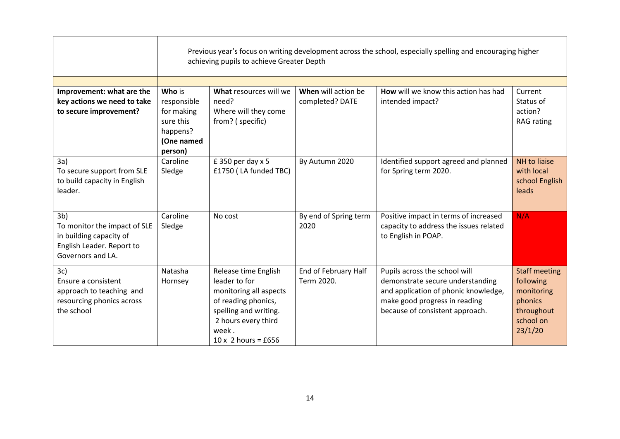|                                                                                                                             |                                                                             | Previous year's focus on writing development across the school, especially spelling and encouraging higher<br>achieving pupils to achieve Greater Depth                       |                                    |                                                                                                                                                                               |                                                                                                  |  |  |  |
|-----------------------------------------------------------------------------------------------------------------------------|-----------------------------------------------------------------------------|-------------------------------------------------------------------------------------------------------------------------------------------------------------------------------|------------------------------------|-------------------------------------------------------------------------------------------------------------------------------------------------------------------------------|--------------------------------------------------------------------------------------------------|--|--|--|
| Improvement: what are the                                                                                                   | Who is                                                                      | What resources will we                                                                                                                                                        | When will action be                | How will we know this action has had                                                                                                                                          | Current                                                                                          |  |  |  |
| key actions we need to take<br>to secure improvement?                                                                       | responsible<br>for making<br>sure this<br>happens?<br>(One named<br>person) | need?<br>Where will they come<br>from? (specific)                                                                                                                             | completed? DATE                    | intended impact?                                                                                                                                                              | Status of<br>action?<br><b>RAG</b> rating                                                        |  |  |  |
| 3a)<br>To secure support from SLE<br>to build capacity in English<br>leader.                                                | Caroline<br>Sledge                                                          | $£$ 350 per day x 5<br>£1750 (LA funded TBC)                                                                                                                                  | By Autumn 2020                     | Identified support agreed and planned<br>for Spring term 2020.                                                                                                                | NH to liaise<br>with local<br>school English<br>leads                                            |  |  |  |
| 3 <sub>b</sub><br>To monitor the impact of SLE<br>in building capacity of<br>English Leader. Report to<br>Governors and LA. | Caroline<br>Sledge                                                          | No cost                                                                                                                                                                       | By end of Spring term<br>2020      | Positive impact in terms of increased<br>capacity to address the issues related<br>to English in POAP.                                                                        | N/A                                                                                              |  |  |  |
| 3c)<br>Ensure a consistent<br>approach to teaching and<br>resourcing phonics across<br>the school                           | Natasha<br>Hornsey                                                          | Release time English<br>leader to for<br>monitoring all aspects<br>of reading phonics,<br>spelling and writing.<br>2 hours every third<br>week.<br>$10 \times 2$ hours = £656 | End of February Half<br>Term 2020. | Pupils across the school will<br>demonstrate secure understanding<br>and application of phonic knowledge,<br>make good progress in reading<br>because of consistent approach. | <b>Staff meeting</b><br>following<br>monitoring<br>phonics<br>throughout<br>school on<br>23/1/20 |  |  |  |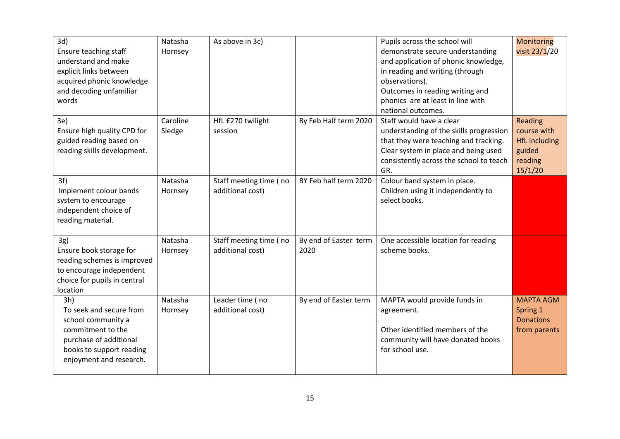| 3d)<br>Ensure teaching staff<br>understand and make<br>explicit links between<br>acquired phonic knowledge<br>and decoding unfamiliar<br>words             | Natasha<br>Hornsey | As above in 3c)                            |                               | Pupils across the school will<br>demonstrate secure understanding<br>and application of phonic knowledge,<br>in reading and writing (through<br>observations).<br>Outcomes in reading writing and<br>phonics are at least in line with<br>national outcomes. | <b>Monitoring</b><br>visit 23/1/20                                             |
|------------------------------------------------------------------------------------------------------------------------------------------------------------|--------------------|--------------------------------------------|-------------------------------|--------------------------------------------------------------------------------------------------------------------------------------------------------------------------------------------------------------------------------------------------------------|--------------------------------------------------------------------------------|
| 3e)<br>Ensure high quality CPD for<br>guided reading based on<br>reading skills development.                                                               | Caroline<br>Sledge | HfL £270 twilight<br>session               | By Feb Half term 2020         | Staff would have a clear<br>understanding of the skills progression<br>that they were teaching and tracking.<br>Clear system in place and being used<br>consistently across the school to teach<br>GR.                                                       | Reading<br>course with<br><b>HfL</b> including<br>guided<br>reading<br>15/1/20 |
| 3f)<br>Implement colour bands<br>system to encourage<br>independent choice of<br>reading material.                                                         | Natasha<br>Hornsey | Staff meeting time (no<br>additional cost) | BY Feb half term 2020         | Colour band system in place.<br>Children using it independently to<br>select books.                                                                                                                                                                          |                                                                                |
| 3g)<br>Ensure book storage for<br>reading schemes is improved<br>to encourage independent<br>choice for pupils in central<br>location                      | Natasha<br>Hornsey | Staff meeting time (no<br>additional cost) | By end of Easter term<br>2020 | One accessible location for reading<br>scheme books.                                                                                                                                                                                                         |                                                                                |
| 3h)<br>To seek and secure from<br>school community a<br>commitment to the<br>purchase of additional<br>books to support reading<br>enjoyment and research. | Natasha<br>Hornsey | Leader time (no<br>additional cost)        | By end of Easter term         | MAPTA would provide funds in<br>agreement.<br>Other identified members of the<br>community will have donated books<br>for school use.                                                                                                                        | <b>MAPTA AGM</b><br>Spring 1<br><b>Donations</b><br>from parents               |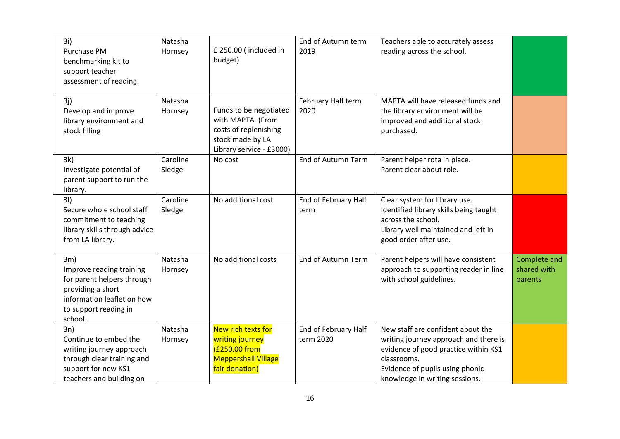| 3i)<br>Purchase PM<br>benchmarking kit to<br>support teacher<br>assessment of reading                                                                | Natasha<br>Hornsey | £ 250.00 (included in<br>budget)                                                                                     | End of Autumn term<br>2019        | Teachers able to accurately assess<br>reading across the school.                                                                                                                                       |                                        |
|------------------------------------------------------------------------------------------------------------------------------------------------------|--------------------|----------------------------------------------------------------------------------------------------------------------|-----------------------------------|--------------------------------------------------------------------------------------------------------------------------------------------------------------------------------------------------------|----------------------------------------|
| 3j)<br>Develop and improve<br>library environment and<br>stock filling                                                                               | Natasha<br>Hornsey | Funds to be negotiated<br>with MAPTA. (From<br>costs of replenishing<br>stock made by LA<br>Library service - £3000) | February Half term<br>2020        | MAPTA will have released funds and<br>the library environment will be<br>improved and additional stock<br>purchased.                                                                                   |                                        |
| 3k)<br>Investigate potential of<br>parent support to run the<br>library.                                                                             | Caroline<br>Sledge | No cost                                                                                                              | <b>End of Autumn Term</b>         | Parent helper rota in place.<br>Parent clear about role.                                                                                                                                               |                                        |
| 31)<br>Secure whole school staff<br>commitment to teaching<br>library skills through advice<br>from LA library.                                      | Caroline<br>Sledge | No additional cost                                                                                                   | End of February Half<br>term      | Clear system for library use.<br>Identified library skills being taught<br>across the school.<br>Library well maintained and left in<br>good order after use.                                          |                                        |
| 3m)<br>Improve reading training<br>for parent helpers through<br>providing a short<br>information leaflet on how<br>to support reading in<br>school. | Natasha<br>Hornsey | No additional costs                                                                                                  | End of Autumn Term                | Parent helpers will have consistent<br>approach to supporting reader in line<br>with school guidelines.                                                                                                | Complete and<br>shared with<br>parents |
| 3n)<br>Continue to embed the<br>writing journey approach<br>through clear training and<br>support for new KS1<br>teachers and building on            | Natasha<br>Hornsey | New rich texts for<br>writing journey<br>(£250.00 from<br><b>Meppershall Village</b><br>fair donation)               | End of February Half<br>term 2020 | New staff are confident about the<br>writing journey approach and there is<br>evidence of good practice within KS1<br>classrooms.<br>Evidence of pupils using phonic<br>knowledge in writing sessions. |                                        |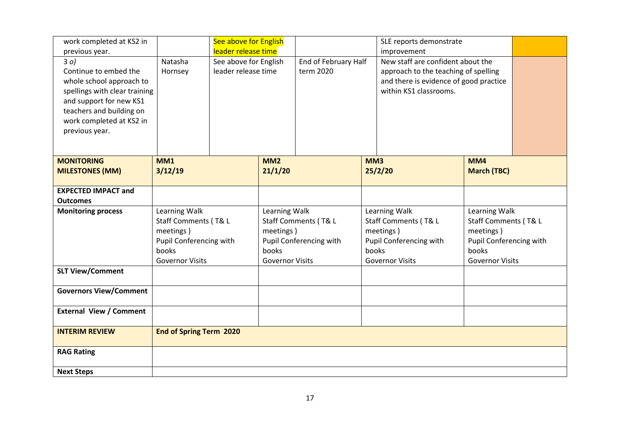| work completed at KS2 in                                                                                                                                           |                                                                                                                  | See above for English                                               |                                                                                                                  |                                   |       | SLE reports demonstrate                                                                                                                                                                                                     |                    |  |
|--------------------------------------------------------------------------------------------------------------------------------------------------------------------|------------------------------------------------------------------------------------------------------------------|---------------------------------------------------------------------|------------------------------------------------------------------------------------------------------------------|-----------------------------------|-------|-----------------------------------------------------------------------------------------------------------------------------------------------------------------------------------------------------------------------------|--------------------|--|
| previous year.<br>30)<br>Continue to embed the<br>whole school approach to<br>spellings with clear training<br>and support for new KS1<br>teachers and building on | Natasha<br>Hornsey                                                                                               | leader release time<br>See above for English<br>leader release time |                                                                                                                  | End of February Half<br>term 2020 |       | improvement<br>New staff are confident about the<br>approach to the teaching of spelling<br>and there is evidence of good practice<br>within KS1 classrooms.                                                                |                    |  |
| work completed at KS2 in<br>previous year.                                                                                                                         |                                                                                                                  |                                                                     |                                                                                                                  |                                   |       |                                                                                                                                                                                                                             |                    |  |
| <b>MONITORING</b>                                                                                                                                                  | <b>MM1</b>                                                                                                       |                                                                     | MM2                                                                                                              |                                   | MM3   |                                                                                                                                                                                                                             | MM4                |  |
| <b>MILESTONES (MM)</b>                                                                                                                                             | 3/12/19                                                                                                          |                                                                     | 21/1/20                                                                                                          |                                   |       | 25/2/20                                                                                                                                                                                                                     | <b>March (TBC)</b> |  |
| <b>EXPECTED IMPACT and</b><br><b>Outcomes</b>                                                                                                                      |                                                                                                                  |                                                                     |                                                                                                                  |                                   |       |                                                                                                                                                                                                                             |                    |  |
| <b>Monitoring process</b>                                                                                                                                          | Learning Walk<br>Staff Comments (T& L<br>meetings)<br>Pupil Conferencing with<br>books<br><b>Governor Visits</b> |                                                                     | Learning Walk<br>Staff Comments (T& L<br>meetings)<br>Pupil Conferencing with<br>books<br><b>Governor Visits</b> |                                   | books | Learning Walk<br>Learning Walk<br>Staff Comments (T& L<br>Staff Comments (T& L<br>meetings)<br>meetings)<br>Pupil Conferencing with<br>Pupil Conferencing with<br>books<br><b>Governor Visits</b><br><b>Governor Visits</b> |                    |  |
| <b>SLT View/Comment</b>                                                                                                                                            |                                                                                                                  |                                                                     |                                                                                                                  |                                   |       |                                                                                                                                                                                                                             |                    |  |
| <b>Governors View/Comment</b>                                                                                                                                      |                                                                                                                  |                                                                     |                                                                                                                  |                                   |       |                                                                                                                                                                                                                             |                    |  |
| <b>External View / Comment</b>                                                                                                                                     |                                                                                                                  |                                                                     |                                                                                                                  |                                   |       |                                                                                                                                                                                                                             |                    |  |
| <b>INTERIM REVIEW</b>                                                                                                                                              | <b>End of Spring Term 2020</b>                                                                                   |                                                                     |                                                                                                                  |                                   |       |                                                                                                                                                                                                                             |                    |  |
| <b>RAG Rating</b>                                                                                                                                                  |                                                                                                                  |                                                                     |                                                                                                                  |                                   |       |                                                                                                                                                                                                                             |                    |  |
| <b>Next Steps</b>                                                                                                                                                  |                                                                                                                  |                                                                     |                                                                                                                  |                                   |       |                                                                                                                                                                                                                             |                    |  |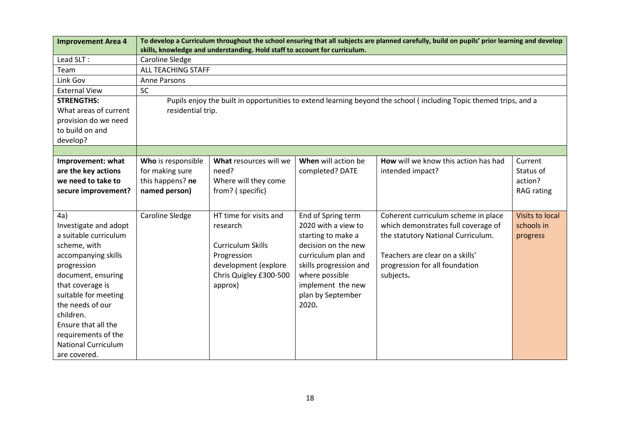| <b>Improvement Area 4</b>  |                           | skills, knowledge and understanding. Hold staff to account for curriculum. |                        | To develop a Curriculum throughout the school ensuring that all subjects are planned carefully, build on pupils' prior learning and develop |                   |  |  |
|----------------------------|---------------------------|----------------------------------------------------------------------------|------------------------|---------------------------------------------------------------------------------------------------------------------------------------------|-------------------|--|--|
| Lead SLT:                  | <b>Caroline Sledge</b>    |                                                                            |                        |                                                                                                                                             |                   |  |  |
| Team                       | <b>ALL TEACHING STAFF</b> |                                                                            |                        |                                                                                                                                             |                   |  |  |
| Link Gov                   | Anne Parsons              |                                                                            |                        |                                                                                                                                             |                   |  |  |
| <b>External View</b>       | SC                        |                                                                            |                        |                                                                                                                                             |                   |  |  |
| <b>STRENGTHS:</b>          |                           |                                                                            |                        | Pupils enjoy the built in opportunities to extend learning beyond the school (including Topic themed trips, and a                           |                   |  |  |
| What areas of current      | residential trip.         |                                                                            |                        |                                                                                                                                             |                   |  |  |
| provision do we need       |                           |                                                                            |                        |                                                                                                                                             |                   |  |  |
| to build on and            |                           |                                                                            |                        |                                                                                                                                             |                   |  |  |
| develop?                   |                           |                                                                            |                        |                                                                                                                                             |                   |  |  |
|                            |                           |                                                                            |                        |                                                                                                                                             |                   |  |  |
| Improvement: what          | Who is responsible        | What resources will we                                                     | When will action be    | How will we know this action has had                                                                                                        | Current           |  |  |
| are the key actions        | for making sure           | need?                                                                      | completed? DATE        | intended impact?                                                                                                                            | Status of         |  |  |
| we need to take to         | this happens? ne          | Where will they come                                                       |                        |                                                                                                                                             | action?           |  |  |
| secure improvement?        | named person)             | from? (specific)                                                           |                        |                                                                                                                                             | <b>RAG</b> rating |  |  |
|                            |                           |                                                                            |                        |                                                                                                                                             |                   |  |  |
| 4a)                        | <b>Caroline Sledge</b>    | HT time for visits and                                                     | End of Spring term     | Coherent curriculum scheme in place                                                                                                         | Visits to local   |  |  |
| Investigate and adopt      |                           | research                                                                   | 2020 with a view to    | which demonstrates full coverage of                                                                                                         | schools in        |  |  |
| a suitable curriculum      |                           |                                                                            | starting to make a     | the statutory National Curriculum.                                                                                                          | progress          |  |  |
| scheme, with               |                           | <b>Curriculum Skills</b>                                                   | decision on the new    |                                                                                                                                             |                   |  |  |
| accompanying skills        |                           | Progression                                                                | curriculum plan and    | Teachers are clear on a skills'                                                                                                             |                   |  |  |
| progression                |                           | development (explore                                                       | skills progression and | progression for all foundation                                                                                                              |                   |  |  |
| document, ensuring         |                           | Chris Quigley £300-500                                                     | where possible         | subjects.                                                                                                                                   |                   |  |  |
| that coverage is           |                           | approx)                                                                    | implement the new      |                                                                                                                                             |                   |  |  |
| suitable for meeting       |                           |                                                                            | plan by September      |                                                                                                                                             |                   |  |  |
| the needs of our           |                           |                                                                            | 2020.                  |                                                                                                                                             |                   |  |  |
| children.                  |                           |                                                                            |                        |                                                                                                                                             |                   |  |  |
| Ensure that all the        |                           |                                                                            |                        |                                                                                                                                             |                   |  |  |
| requirements of the        |                           |                                                                            |                        |                                                                                                                                             |                   |  |  |
| <b>National Curriculum</b> |                           |                                                                            |                        |                                                                                                                                             |                   |  |  |
| are covered.               |                           |                                                                            |                        |                                                                                                                                             |                   |  |  |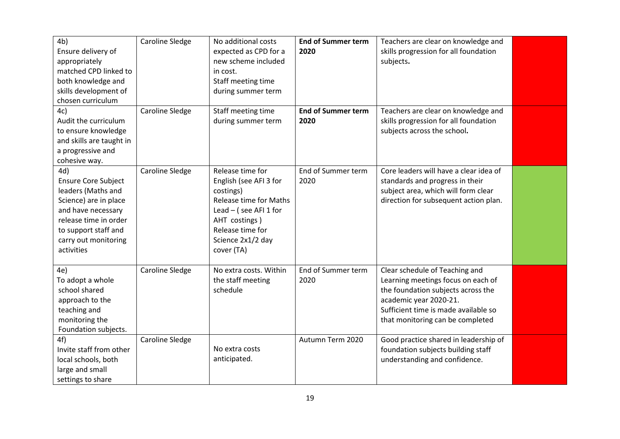| 4 <sub>b</sub>             | Caroline Sledge        | No additional costs           | <b>End of Summer term</b> | Teachers are clear on knowledge and    |  |
|----------------------------|------------------------|-------------------------------|---------------------------|----------------------------------------|--|
| Ensure delivery of         |                        | expected as CPD for a         | 2020                      | skills progression for all foundation  |  |
| appropriately              |                        | new scheme included           |                           | subjects.                              |  |
| matched CPD linked to      |                        | in cost.                      |                           |                                        |  |
| both knowledge and         |                        | Staff meeting time            |                           |                                        |  |
| skills development of      |                        | during summer term            |                           |                                        |  |
| chosen curriculum          |                        |                               |                           |                                        |  |
| 4c)                        | <b>Caroline Sledge</b> | Staff meeting time            | <b>End of Summer term</b> | Teachers are clear on knowledge and    |  |
| Audit the curriculum       |                        | during summer term            | 2020                      | skills progression for all foundation  |  |
| to ensure knowledge        |                        |                               |                           | subjects across the school.            |  |
| and skills are taught in   |                        |                               |                           |                                        |  |
| a progressive and          |                        |                               |                           |                                        |  |
| cohesive way.              |                        |                               |                           |                                        |  |
| 4d)                        | <b>Caroline Sledge</b> | Release time for              | End of Summer term        | Core leaders will have a clear idea of |  |
| <b>Ensure Core Subject</b> |                        | English (see AFI 3 for        | 2020                      | standards and progress in their        |  |
| leaders (Maths and         |                        | costings)                     |                           | subject area, which will form clear    |  |
| Science) are in place      |                        | <b>Release time for Maths</b> |                           | direction for subsequent action plan.  |  |
| and have necessary         |                        | Lead $-$ (see AFI 1 for       |                           |                                        |  |
| release time in order      |                        | AHT costings )                |                           |                                        |  |
| to support staff and       |                        | Release time for              |                           |                                        |  |
| carry out monitoring       |                        | Science 2x1/2 day             |                           |                                        |  |
| activities                 |                        | cover (TA)                    |                           |                                        |  |
|                            |                        |                               |                           |                                        |  |
| 4e)                        | Caroline Sledge        | No extra costs. Within        | End of Summer term        | Clear schedule of Teaching and         |  |
| To adopt a whole           |                        | the staff meeting             | 2020                      | Learning meetings focus on each of     |  |
| school shared              |                        | schedule                      |                           | the foundation subjects across the     |  |
| approach to the            |                        |                               |                           | academic year 2020-21.                 |  |
| teaching and               |                        |                               |                           | Sufficient time is made available so   |  |
| monitoring the             |                        |                               |                           | that monitoring can be completed       |  |
| Foundation subjects.       |                        |                               |                           |                                        |  |
| 4f)                        | <b>Caroline Sledge</b> |                               | Autumn Term 2020          | Good practice shared in leadership of  |  |
| Invite staff from other    |                        | No extra costs                |                           | foundation subjects building staff     |  |
| local schools, both        |                        | anticipated.                  |                           | understanding and confidence.          |  |
| large and small            |                        |                               |                           |                                        |  |
| settings to share          |                        |                               |                           |                                        |  |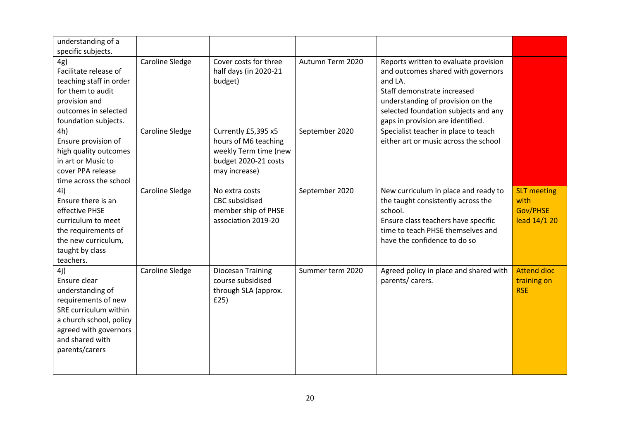| understanding of a      |                        |                          |                  |                                        |                    |
|-------------------------|------------------------|--------------------------|------------------|----------------------------------------|--------------------|
| specific subjects.      |                        |                          |                  |                                        |                    |
| 4g)                     | Caroline Sledge        | Cover costs for three    | Autumn Term 2020 | Reports written to evaluate provision  |                    |
| Facilitate release of   |                        | half days (in 2020-21    |                  | and outcomes shared with governors     |                    |
| teaching staff in order |                        | budget)                  |                  | and LA.                                |                    |
| for them to audit       |                        |                          |                  | Staff demonstrate increased            |                    |
| provision and           |                        |                          |                  | understanding of provision on the      |                    |
| outcomes in selected    |                        |                          |                  | selected foundation subjects and any   |                    |
| foundation subjects.    |                        |                          |                  | gaps in provision are identified.      |                    |
| 4h)                     | Caroline Sledge        | Currently £5,395 x5      | September 2020   | Specialist teacher in place to teach   |                    |
| Ensure provision of     |                        | hours of M6 teaching     |                  | either art or music across the school  |                    |
| high quality outcomes   |                        | weekly Term time (new    |                  |                                        |                    |
| in art or Music to      |                        | budget 2020-21 costs     |                  |                                        |                    |
| cover PPA release       |                        | may increase)            |                  |                                        |                    |
| time across the school  |                        |                          |                  |                                        |                    |
| 4i)                     | <b>Caroline Sledge</b> | No extra costs           | September 2020   | New curriculum in place and ready to   | <b>SLT</b> meeting |
| Ensure there is an      |                        | <b>CBC</b> subsidised    |                  | the taught consistently across the     | with               |
| effective PHSE          |                        | member ship of PHSE      |                  | school.                                | Gov/PHSE           |
| curriculum to meet      |                        | association 2019-20      |                  | Ensure class teachers have specific    | lead 14/1 20       |
| the requirements of     |                        |                          |                  | time to teach PHSE themselves and      |                    |
| the new curriculum,     |                        |                          |                  | have the confidence to do so           |                    |
| taught by class         |                        |                          |                  |                                        |                    |
| teachers.               |                        |                          |                  |                                        |                    |
| 4j)                     | <b>Caroline Sledge</b> | <b>Diocesan Training</b> | Summer term 2020 | Agreed policy in place and shared with | <b>Attend dioc</b> |
| Ensure clear            |                        | course subsidised        |                  | parents/ carers.                       | training on        |
| understanding of        |                        | through SLA (approx.     |                  |                                        | <b>RSE</b>         |
| requirements of new     |                        | E25)                     |                  |                                        |                    |
| SRE curriculum within   |                        |                          |                  |                                        |                    |
| a church school, policy |                        |                          |                  |                                        |                    |
| agreed with governors   |                        |                          |                  |                                        |                    |
| and shared with         |                        |                          |                  |                                        |                    |
| parents/carers          |                        |                          |                  |                                        |                    |
|                         |                        |                          |                  |                                        |                    |
|                         |                        |                          |                  |                                        |                    |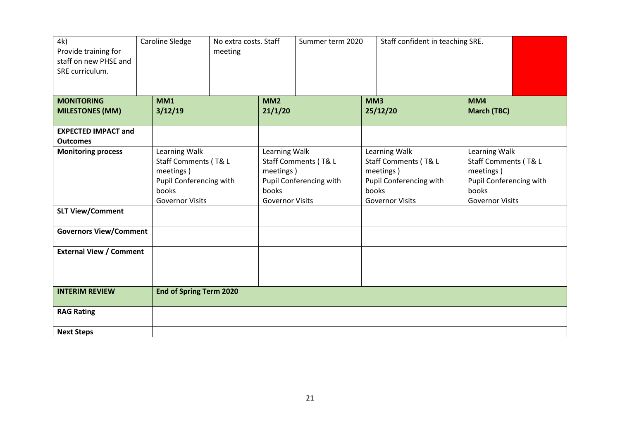| 4k)<br>Provide training for<br>staff on new PHSE and<br>SRE curriculum. | Caroline Sledge                | No extra costs. Staff<br>meeting |                        | Summer term 2020        |                 | Staff confident in teaching SRE. |                         |
|-------------------------------------------------------------------------|--------------------------------|----------------------------------|------------------------|-------------------------|-----------------|----------------------------------|-------------------------|
| <b>MONITORING</b>                                                       | MM1                            |                                  | MM <sub>2</sub>        |                         | MM <sub>3</sub> |                                  | MM4                     |
| <b>MILESTONES (MM)</b>                                                  | 3/12/19                        |                                  | 21/1/20                |                         |                 | 25/12/20                         | <b>March (TBC)</b>      |
| <b>EXPECTED IMPACT and</b>                                              |                                |                                  |                        |                         |                 |                                  |                         |
| <b>Outcomes</b>                                                         |                                |                                  |                        |                         |                 |                                  |                         |
| <b>Monitoring process</b>                                               | Learning Walk                  |                                  | Learning Walk          |                         |                 | Learning Walk                    | Learning Walk           |
|                                                                         | Staff Comments (T& L           |                                  |                        | Staff Comments (T& L    |                 | Staff Comments (T& L             | Staff Comments (T& L    |
|                                                                         | meetings)                      |                                  | meetings)              |                         |                 | meetings)                        | meetings)               |
|                                                                         | Pupil Conferencing with        |                                  |                        | Pupil Conferencing with |                 | Pupil Conferencing with          | Pupil Conferencing with |
|                                                                         | books                          |                                  | books                  |                         |                 | books                            | books                   |
|                                                                         | <b>Governor Visits</b>         |                                  | <b>Governor Visits</b> |                         |                 | <b>Governor Visits</b>           | <b>Governor Visits</b>  |
| <b>SLT View/Comment</b>                                                 |                                |                                  |                        |                         |                 |                                  |                         |
| <b>Governors View/Comment</b>                                           |                                |                                  |                        |                         |                 |                                  |                         |
| <b>External View / Comment</b>                                          |                                |                                  |                        |                         |                 |                                  |                         |
|                                                                         |                                |                                  |                        |                         |                 |                                  |                         |
| <b>INTERIM REVIEW</b>                                                   | <b>End of Spring Term 2020</b> |                                  |                        |                         |                 |                                  |                         |
| <b>RAG Rating</b>                                                       |                                |                                  |                        |                         |                 |                                  |                         |
| <b>Next Steps</b>                                                       |                                |                                  |                        |                         |                 |                                  |                         |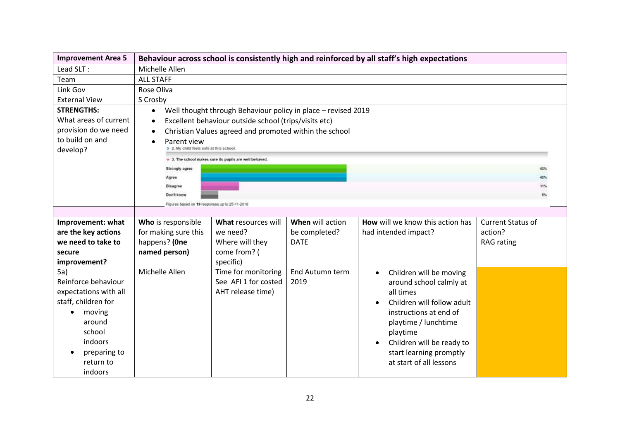| <b>Improvement Area 5</b>                                                                                                                                                | Behaviour across school is consistently high and reinforced by all staff's high expectations |                                                                                                                                                                                                                                                                                                                                                                                                               |                                                  |                                                                                                                                                                                                                                                             |                                                          |  |  |
|--------------------------------------------------------------------------------------------------------------------------------------------------------------------------|----------------------------------------------------------------------------------------------|---------------------------------------------------------------------------------------------------------------------------------------------------------------------------------------------------------------------------------------------------------------------------------------------------------------------------------------------------------------------------------------------------------------|--------------------------------------------------|-------------------------------------------------------------------------------------------------------------------------------------------------------------------------------------------------------------------------------------------------------------|----------------------------------------------------------|--|--|
| Lead SLT:                                                                                                                                                                | Michelle Allen                                                                               |                                                                                                                                                                                                                                                                                                                                                                                                               |                                                  |                                                                                                                                                                                                                                                             |                                                          |  |  |
| Team                                                                                                                                                                     | <b>ALL STAFF</b>                                                                             |                                                                                                                                                                                                                                                                                                                                                                                                               |                                                  |                                                                                                                                                                                                                                                             |                                                          |  |  |
| Link Gov                                                                                                                                                                 | Rose Oliva                                                                                   |                                                                                                                                                                                                                                                                                                                                                                                                               |                                                  |                                                                                                                                                                                                                                                             |                                                          |  |  |
| <b>External View</b>                                                                                                                                                     | S Crosby                                                                                     |                                                                                                                                                                                                                                                                                                                                                                                                               |                                                  |                                                                                                                                                                                                                                                             |                                                          |  |  |
| <b>STRENGTHS:</b><br>What areas of current<br>provision do we need<br>to build on and<br>develop?                                                                        | $\bullet$<br>$\bullet$<br>٠<br>Parent view                                                   | Well thought through Behaviour policy in place - revised 2019<br>Excellent behaviour outside school (trips/visits etc)<br>Christian Values agreed and promoted within the school<br>> 2. My child feels safe at this school<br>$\times$ 3. The school makes sure its pupils are well behaved.<br>Strongly agree<br>Agree<br>Disagree<br>$5\%$<br>Don't know<br>Figures based on 19 responses up to 25-11-2019 |                                                  |                                                                                                                                                                                                                                                             |                                                          |  |  |
|                                                                                                                                                                          |                                                                                              |                                                                                                                                                                                                                                                                                                                                                                                                               |                                                  |                                                                                                                                                                                                                                                             |                                                          |  |  |
| Improvement: what<br>are the key actions<br>we need to take to<br>secure<br>improvement?                                                                                 | Who is responsible<br>for making sure this<br>happens? (One<br>named person)                 | What resources will<br>we need?<br>Where will they<br>come from? (<br>specific)                                                                                                                                                                                                                                                                                                                               | When will action<br>be completed?<br><b>DATE</b> | How will we know this action has<br>had intended impact?                                                                                                                                                                                                    | <b>Current Status of</b><br>action?<br><b>RAG</b> rating |  |  |
| 5a)<br>Reinforce behaviour<br>expectations with all<br>staff, children for<br>moving<br>$\bullet$<br>around<br>school<br>indoors<br>preparing to<br>return to<br>indoors | Michelle Allen                                                                               | Time for monitoring<br>See AFI 1 for costed<br>AHT release time)                                                                                                                                                                                                                                                                                                                                              | End Autumn term<br>2019                          | Children will be moving<br>$\bullet$<br>around school calmly at<br>all times<br>Children will follow adult<br>instructions at end of<br>playtime / lunchtime<br>playtime<br>Children will be ready to<br>start learning promptly<br>at start of all lessons |                                                          |  |  |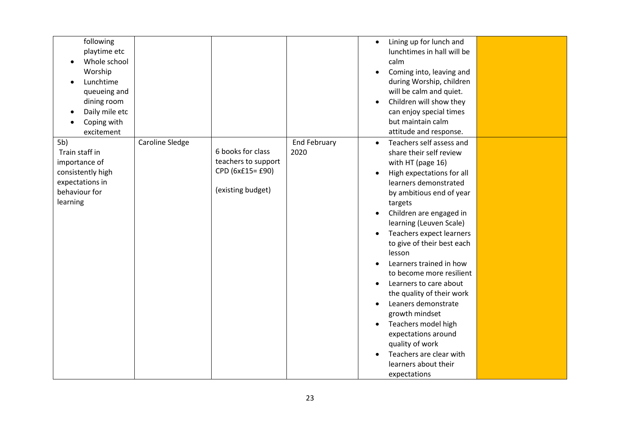| following<br>playtime etc<br>Whole school<br>Worship<br>Lunchtime<br>queueing and<br>dining room<br>Daily mile etc<br>Coping with<br>excitement |                 |                                                                                   |                             | Lining up for lunch and<br>$\bullet$<br>lunchtimes in hall will be<br>calm<br>Coming into, leaving and<br>during Worship, children<br>will be calm and quiet.<br>Children will show they<br>$\bullet$<br>can enjoy special times<br>but maintain calm<br>attitude and response.                                                                                                                                                                                                                                                                                                                                                   |  |
|-------------------------------------------------------------------------------------------------------------------------------------------------|-----------------|-----------------------------------------------------------------------------------|-----------------------------|-----------------------------------------------------------------------------------------------------------------------------------------------------------------------------------------------------------------------------------------------------------------------------------------------------------------------------------------------------------------------------------------------------------------------------------------------------------------------------------------------------------------------------------------------------------------------------------------------------------------------------------|--|
| 5 <sub>b</sub><br>Train staff in<br>importance of<br>consistently high<br>expectations in<br>behaviour for<br>learning                          | Caroline Sledge | 6 books for class<br>teachers to support<br>CPD (6x£15= £90)<br>(existing budget) | <b>End February</b><br>2020 | Teachers self assess and<br>$\bullet$<br>share their self review<br>with HT (page 16)<br>High expectations for all<br>learners demonstrated<br>by ambitious end of year<br>targets<br>Children are engaged in<br>learning (Leuven Scale)<br>Teachers expect learners<br>to give of their best each<br>lesson<br>Learners trained in how<br>to become more resilient<br>Learners to care about<br>the quality of their work<br>Leaners demonstrate<br>$\bullet$<br>growth mindset<br>Teachers model high<br>$\bullet$<br>expectations around<br>quality of work<br>Teachers are clear with<br>learners about their<br>expectations |  |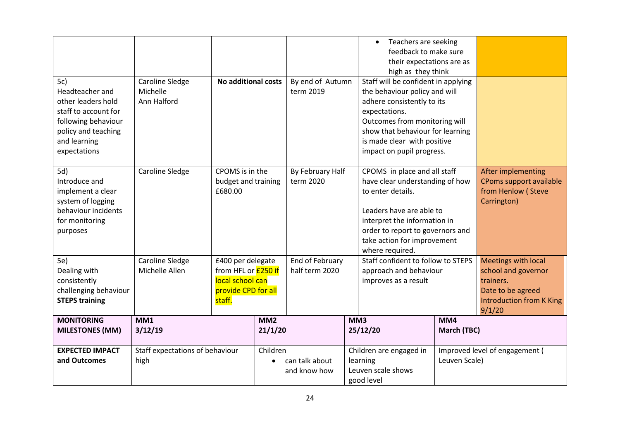| 5c)<br>Headteacher and<br>other leaders hold<br>staff to account for<br>following behaviour<br>policy and teaching<br>and learning<br>expectations | Caroline Sledge<br>Michelle<br>Ann Halford | <b>No additional costs</b>                                                                           |                               | By end of Autumn<br>term 2019     |                                                                                                                                                                                                                                        | Teachers are seeking<br>$\bullet$<br>feedback to make sure<br>their expectations are as<br>high as they think<br>Staff will be confident in applying<br>the behaviour policy and will<br>adhere consistently to its<br>expectations.<br>Outcomes from monitoring will<br>show that behaviour for learning<br>is made clear with positive<br>impact on pupil progress. |                                                                                    |                                                                                                                                  |
|----------------------------------------------------------------------------------------------------------------------------------------------------|--------------------------------------------|------------------------------------------------------------------------------------------------------|-------------------------------|-----------------------------------|----------------------------------------------------------------------------------------------------------------------------------------------------------------------------------------------------------------------------------------|-----------------------------------------------------------------------------------------------------------------------------------------------------------------------------------------------------------------------------------------------------------------------------------------------------------------------------------------------------------------------|------------------------------------------------------------------------------------|----------------------------------------------------------------------------------------------------------------------------------|
| 5d)<br>Introduce and<br>implement a clear<br>system of logging<br>behaviour incidents<br>for monitoring<br>purposes                                | Caroline Sledge                            | CPOMS is in the<br>budget and training<br>£680.00                                                    | By February Half<br>term 2020 |                                   | CPOMS in place and all staff<br>have clear understanding of how<br>to enter details.<br>Leaders have are able to<br>interpret the information in<br>order to report to governors and<br>take action for improvement<br>where required. |                                                                                                                                                                                                                                                                                                                                                                       | After implementing<br>CPoms support available<br>from Henlow (Steve<br>Carrington) |                                                                                                                                  |
| 5e)<br>Dealing with<br>consistently<br>challenging behaviour<br><b>STEPS training</b>                                                              | Caroline Sledge<br>Michelle Allen          | £400 per delegate<br>from HFL or <b>£250 if</b><br>local school can<br>provide CPD for all<br>staff. |                               | End of February<br>half term 2020 |                                                                                                                                                                                                                                        | Staff confident to follow to STEPS<br>approach and behaviour<br>improves as a result                                                                                                                                                                                                                                                                                  |                                                                                    | <b>Meetings with local</b><br>school and governor<br>trainers.<br>Date to be agreed<br><b>Introduction from K King</b><br>9/1/20 |
| <b>MONITORING</b><br><b>MILESTONES (MM)</b>                                                                                                        | MM1<br>3/12/19                             | MM2<br>21/1/20                                                                                       |                               |                                   |                                                                                                                                                                                                                                        | MM3<br>25/12/20                                                                                                                                                                                                                                                                                                                                                       | MM4<br>March (TBC)                                                                 |                                                                                                                                  |
| <b>EXPECTED IMPACT</b><br>and Outcomes                                                                                                             | Staff expectations of behaviour<br>high    | Children                                                                                             |                               | can talk about<br>and know how    |                                                                                                                                                                                                                                        | Children are engaged in<br>learning<br>Leuven scale shows<br>good level                                                                                                                                                                                                                                                                                               | Improved level of engagement (<br>Leuven Scale)                                    |                                                                                                                                  |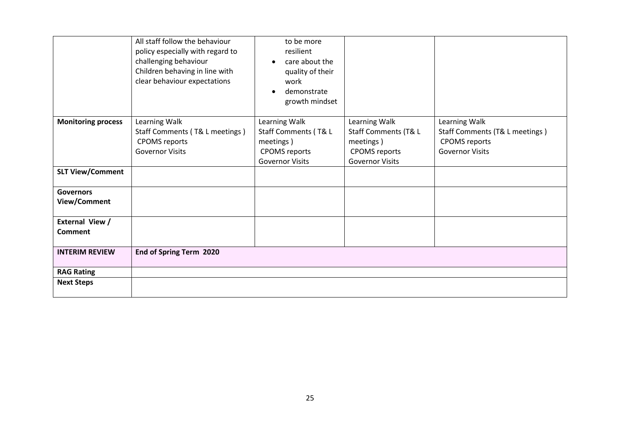| All staff follow the behaviour<br>to be more<br>policy especially with regard to<br>resilient<br>challenging behaviour<br>care about the<br>Children behaving in line with<br>quality of their<br>clear behaviour expectations<br>work<br>demonstrate |  |
|-------------------------------------------------------------------------------------------------------------------------------------------------------------------------------------------------------------------------------------------------------|--|
|                                                                                                                                                                                                                                                       |  |
|                                                                                                                                                                                                                                                       |  |
|                                                                                                                                                                                                                                                       |  |
|                                                                                                                                                                                                                                                       |  |
|                                                                                                                                                                                                                                                       |  |
|                                                                                                                                                                                                                                                       |  |
| growth mindset                                                                                                                                                                                                                                        |  |
|                                                                                                                                                                                                                                                       |  |
| Learning Walk<br><b>Monitoring process</b><br>Learning Walk<br>Learning Walk<br>Learning Walk                                                                                                                                                         |  |
| Staff Comments (T& L<br>Staff Comments (T& L meetings)<br>Staff Comments (T& L meetings)<br>Staff Comments (T& L                                                                                                                                      |  |
| <b>CPOMS</b> reports<br><b>CPOMS</b> reports<br>meetings)<br>meetings)                                                                                                                                                                                |  |
| <b>Governor Visits</b><br><b>Governor Visits</b><br><b>CPOMS</b> reports<br><b>CPOMS</b> reports                                                                                                                                                      |  |
| <b>Governor Visits</b><br><b>Governor Visits</b>                                                                                                                                                                                                      |  |
| <b>SLT View/Comment</b>                                                                                                                                                                                                                               |  |
| <b>Governors</b>                                                                                                                                                                                                                                      |  |
| View/Comment                                                                                                                                                                                                                                          |  |
|                                                                                                                                                                                                                                                       |  |
| External View /                                                                                                                                                                                                                                       |  |
| Comment                                                                                                                                                                                                                                               |  |
|                                                                                                                                                                                                                                                       |  |
| End of Spring Term 2020<br><b>INTERIM REVIEW</b>                                                                                                                                                                                                      |  |
|                                                                                                                                                                                                                                                       |  |
| <b>RAG Rating</b>                                                                                                                                                                                                                                     |  |
| <b>Next Steps</b>                                                                                                                                                                                                                                     |  |
|                                                                                                                                                                                                                                                       |  |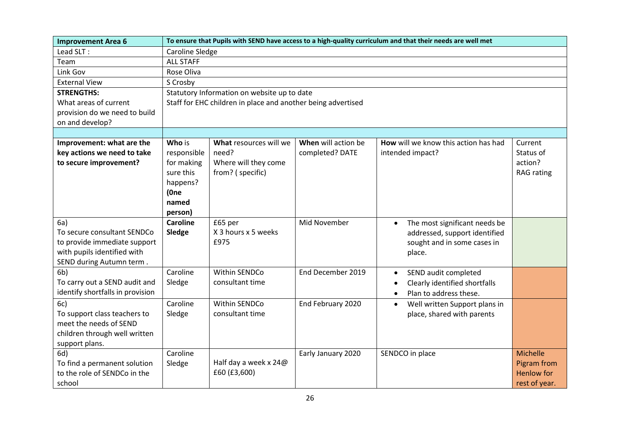| <b>Improvement Area 6</b>                                                                                                     |                                                                                          | To ensure that Pupils with SEND have access to a high-quality curriculum and that their needs are well met |                                        |                                                                                                                      |                                                               |  |  |  |  |
|-------------------------------------------------------------------------------------------------------------------------------|------------------------------------------------------------------------------------------|------------------------------------------------------------------------------------------------------------|----------------------------------------|----------------------------------------------------------------------------------------------------------------------|---------------------------------------------------------------|--|--|--|--|
| Lead SLT:                                                                                                                     | Caroline Sledge                                                                          |                                                                                                            |                                        |                                                                                                                      |                                                               |  |  |  |  |
| Team                                                                                                                          | <b>ALL STAFF</b>                                                                         |                                                                                                            |                                        |                                                                                                                      |                                                               |  |  |  |  |
| Link Gov                                                                                                                      | Rose Oliva                                                                               |                                                                                                            |                                        |                                                                                                                      |                                                               |  |  |  |  |
| <b>External View</b>                                                                                                          | S Crosby                                                                                 |                                                                                                            |                                        |                                                                                                                      |                                                               |  |  |  |  |
| <b>STRENGTHS:</b>                                                                                                             | Statutory Information on website up to date                                              |                                                                                                            |                                        |                                                                                                                      |                                                               |  |  |  |  |
| What areas of current                                                                                                         |                                                                                          | Staff for EHC children in place and another being advertised                                               |                                        |                                                                                                                      |                                                               |  |  |  |  |
| provision do we need to build                                                                                                 |                                                                                          |                                                                                                            |                                        |                                                                                                                      |                                                               |  |  |  |  |
| on and develop?                                                                                                               |                                                                                          |                                                                                                            |                                        |                                                                                                                      |                                                               |  |  |  |  |
|                                                                                                                               |                                                                                          |                                                                                                            |                                        |                                                                                                                      |                                                               |  |  |  |  |
| Improvement: what are the<br>key actions we need to take<br>to secure improvement?                                            | Who is<br>responsible<br>for making<br>sure this<br>happens?<br>(One<br>named<br>person) | What resources will we<br>need?<br>Where will they come<br>from? (specific)                                | When will action be<br>completed? DATE | How will we know this action has had<br>intended impact?                                                             | Current<br>Status of<br>action?<br><b>RAG</b> rating          |  |  |  |  |
| 6a)<br>To secure consultant SENDCo<br>to provide immediate support<br>with pupils identified with<br>SEND during Autumn term. | <b>Caroline</b><br>Sledge                                                                | £65 per<br>X 3 hours x 5 weeks<br>£975                                                                     | Mid November                           | The most significant needs be<br>$\bullet$<br>addressed, support identified<br>sought and in some cases in<br>place. |                                                               |  |  |  |  |
| 6 <sub>b</sub><br>To carry out a SEND audit and<br>identify shortfalls in provision                                           | Caroline<br>Sledge                                                                       | Within SENDCo<br>consultant time                                                                           | End December 2019                      | SEND audit completed<br>Clearly identified shortfalls<br>Plan to address these.                                      |                                                               |  |  |  |  |
| 6c)<br>To support class teachers to<br>meet the needs of SEND<br>children through well written<br>support plans.              | Caroline<br>Sledge                                                                       | <b>Within SENDCo</b><br>consultant time                                                                    | End February 2020                      | Well written Support plans in<br>$\bullet$<br>place, shared with parents                                             |                                                               |  |  |  |  |
| 6d)<br>To find a permanent solution<br>to the role of SENDCo in the<br>school                                                 | Caroline<br>Sledge                                                                       | Half day a week x 24@<br>£60 (£3,600)                                                                      | Early January 2020                     | SENDCO in place                                                                                                      | Michelle<br>Pigram from<br><b>Henlow</b> for<br>rest of year. |  |  |  |  |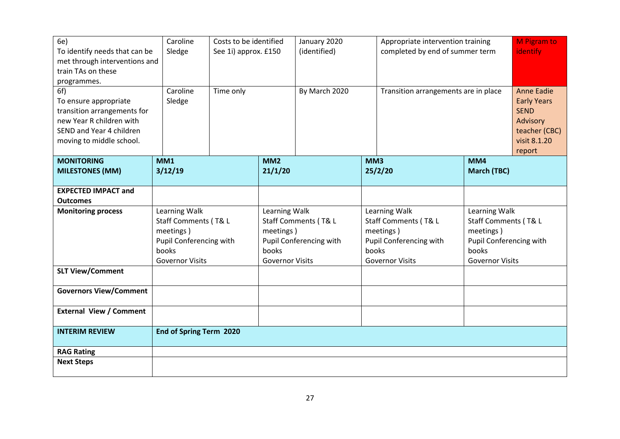| 6e)<br>To identify needs that can be<br>met through interventions and<br>train TAs on these<br>programmes.<br>6f)<br>To ensure appropriate<br>transition arrangements for<br>new Year R children with<br>SEND and Year 4 children<br>moving to middle school. | Caroline<br>Sledge<br>Caroline<br>Sledge                                                                         | Costs to be identified<br>See 1i) approx. £150<br>Time only |                                                                                                                  | January 2020<br>(identified)<br>By March 2020 |                                                                                                                  | Appropriate intervention training<br>completed by end of summer term<br>Transition arrangements are in place |                                                                                                                  | <b>M</b> Pigram to<br>identify<br><b>Anne Eadie</b><br><b>Early Years</b><br><b>SEND</b><br>Advisory<br>teacher (CBC)<br>visit 8.1.20 |
|---------------------------------------------------------------------------------------------------------------------------------------------------------------------------------------------------------------------------------------------------------------|------------------------------------------------------------------------------------------------------------------|-------------------------------------------------------------|------------------------------------------------------------------------------------------------------------------|-----------------------------------------------|------------------------------------------------------------------------------------------------------------------|--------------------------------------------------------------------------------------------------------------|------------------------------------------------------------------------------------------------------------------|---------------------------------------------------------------------------------------------------------------------------------------|
| <b>MONITORING</b>                                                                                                                                                                                                                                             | MM1                                                                                                              |                                                             | MM <sub>2</sub>                                                                                                  |                                               | MM3                                                                                                              |                                                                                                              | MM4                                                                                                              | report                                                                                                                                |
| <b>MILESTONES (MM)</b>                                                                                                                                                                                                                                        | 3/12/19                                                                                                          |                                                             | 21/1/20                                                                                                          |                                               |                                                                                                                  | 25/2/20                                                                                                      | <b>March (TBC)</b>                                                                                               |                                                                                                                                       |
|                                                                                                                                                                                                                                                               |                                                                                                                  |                                                             |                                                                                                                  |                                               |                                                                                                                  |                                                                                                              |                                                                                                                  |                                                                                                                                       |
| <b>EXPECTED IMPACT and</b>                                                                                                                                                                                                                                    |                                                                                                                  |                                                             |                                                                                                                  |                                               |                                                                                                                  |                                                                                                              |                                                                                                                  |                                                                                                                                       |
| <b>Outcomes</b>                                                                                                                                                                                                                                               |                                                                                                                  |                                                             |                                                                                                                  |                                               |                                                                                                                  |                                                                                                              |                                                                                                                  |                                                                                                                                       |
| <b>Monitoring process</b>                                                                                                                                                                                                                                     | Learning Walk<br>Staff Comments (T& L<br>meetings)<br>Pupil Conferencing with<br>books<br><b>Governor Visits</b> |                                                             | Learning Walk<br>Staff Comments (T& L<br>meetings)<br>Pupil Conferencing with<br>books<br><b>Governor Visits</b> |                                               | Learning Walk<br>Staff Comments (T& L<br>meetings)<br>Pupil Conferencing with<br>books<br><b>Governor Visits</b> |                                                                                                              | Learning Walk<br>Staff Comments (T& L<br>meetings)<br>Pupil Conferencing with<br>books<br><b>Governor Visits</b> |                                                                                                                                       |
| <b>SLT View/Comment</b>                                                                                                                                                                                                                                       |                                                                                                                  |                                                             |                                                                                                                  |                                               |                                                                                                                  |                                                                                                              |                                                                                                                  |                                                                                                                                       |
| <b>Governors View/Comment</b>                                                                                                                                                                                                                                 |                                                                                                                  |                                                             |                                                                                                                  |                                               |                                                                                                                  |                                                                                                              |                                                                                                                  |                                                                                                                                       |
| <b>External View / Comment</b>                                                                                                                                                                                                                                |                                                                                                                  |                                                             |                                                                                                                  |                                               |                                                                                                                  |                                                                                                              |                                                                                                                  |                                                                                                                                       |
| <b>INTERIM REVIEW</b>                                                                                                                                                                                                                                         | End of Spring Term 2020                                                                                          |                                                             |                                                                                                                  |                                               |                                                                                                                  |                                                                                                              |                                                                                                                  |                                                                                                                                       |
| <b>RAG Rating</b>                                                                                                                                                                                                                                             |                                                                                                                  |                                                             |                                                                                                                  |                                               |                                                                                                                  |                                                                                                              |                                                                                                                  |                                                                                                                                       |
| <b>Next Steps</b>                                                                                                                                                                                                                                             |                                                                                                                  |                                                             |                                                                                                                  |                                               |                                                                                                                  |                                                                                                              |                                                                                                                  |                                                                                                                                       |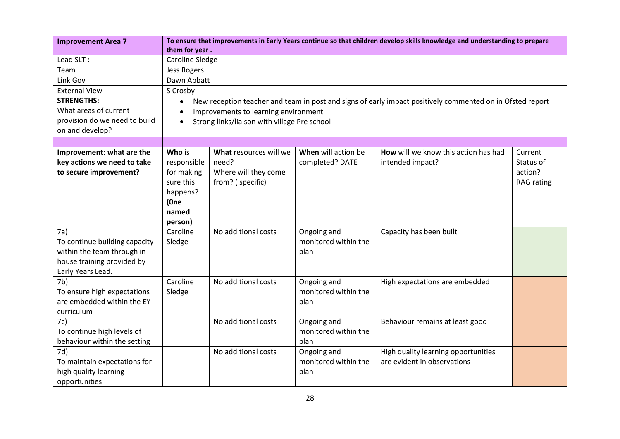| <b>Improvement Area 7</b>     | To ensure that improvements in Early Years continue so that children develop skills knowledge and understanding to prepare |                                              |                      |                                      |                   |  |  |  |
|-------------------------------|----------------------------------------------------------------------------------------------------------------------------|----------------------------------------------|----------------------|--------------------------------------|-------------------|--|--|--|
|                               | them for year.                                                                                                             |                                              |                      |                                      |                   |  |  |  |
| Lead SLT:                     | <b>Caroline Sledge</b>                                                                                                     |                                              |                      |                                      |                   |  |  |  |
| Team                          | <b>Jess Rogers</b>                                                                                                         |                                              |                      |                                      |                   |  |  |  |
| Link Gov                      | Dawn Abbatt                                                                                                                |                                              |                      |                                      |                   |  |  |  |
| <b>External View</b>          | S Crosby                                                                                                                   |                                              |                      |                                      |                   |  |  |  |
| <b>STRENGTHS:</b>             | New reception teacher and team in post and signs of early impact positively commented on in Ofsted report<br>$\bullet$     |                                              |                      |                                      |                   |  |  |  |
| What areas of current         | Improvements to learning environment                                                                                       |                                              |                      |                                      |                   |  |  |  |
| provision do we need to build | $\bullet$                                                                                                                  | Strong links/liaison with village Pre school |                      |                                      |                   |  |  |  |
| on and develop?               |                                                                                                                            |                                              |                      |                                      |                   |  |  |  |
|                               |                                                                                                                            |                                              |                      |                                      |                   |  |  |  |
| Improvement: what are the     | Who is                                                                                                                     | What resources will we                       | When will action be  | How will we know this action has had | Current           |  |  |  |
| key actions we need to take   | responsible                                                                                                                | need?                                        | completed? DATE      | intended impact?                     | Status of         |  |  |  |
| to secure improvement?        | for making                                                                                                                 | Where will they come                         |                      |                                      | action?           |  |  |  |
|                               | sure this                                                                                                                  | from? (specific)                             |                      |                                      | <b>RAG</b> rating |  |  |  |
|                               | happens?                                                                                                                   |                                              |                      |                                      |                   |  |  |  |
|                               | (One                                                                                                                       |                                              |                      |                                      |                   |  |  |  |
|                               | named                                                                                                                      |                                              |                      |                                      |                   |  |  |  |
|                               | person)                                                                                                                    |                                              |                      |                                      |                   |  |  |  |
| 7a)                           | Caroline                                                                                                                   | No additional costs                          | Ongoing and          | Capacity has been built              |                   |  |  |  |
| To continue building capacity | Sledge                                                                                                                     |                                              | monitored within the |                                      |                   |  |  |  |
| within the team through in    |                                                                                                                            |                                              | plan                 |                                      |                   |  |  |  |
| house training provided by    |                                                                                                                            |                                              |                      |                                      |                   |  |  |  |
| Early Years Lead.             |                                                                                                                            |                                              |                      |                                      |                   |  |  |  |
| 7 <sub>b</sub>                | Caroline                                                                                                                   | No additional costs                          | Ongoing and          | High expectations are embedded       |                   |  |  |  |
| To ensure high expectations   | Sledge                                                                                                                     |                                              | monitored within the |                                      |                   |  |  |  |
| are embedded within the EY    |                                                                                                                            |                                              | plan                 |                                      |                   |  |  |  |
| curriculum                    |                                                                                                                            |                                              |                      |                                      |                   |  |  |  |
| 7c)                           |                                                                                                                            | No additional costs                          | Ongoing and          | Behaviour remains at least good      |                   |  |  |  |
| To continue high levels of    |                                                                                                                            |                                              | monitored within the |                                      |                   |  |  |  |
| behaviour within the setting  |                                                                                                                            |                                              | plan                 |                                      |                   |  |  |  |
| 7d)                           |                                                                                                                            | No additional costs                          | Ongoing and          | High quality learning opportunities  |                   |  |  |  |
| To maintain expectations for  |                                                                                                                            |                                              | monitored within the | are evident in observations          |                   |  |  |  |
| high quality learning         |                                                                                                                            |                                              | plan                 |                                      |                   |  |  |  |
| opportunities                 |                                                                                                                            |                                              |                      |                                      |                   |  |  |  |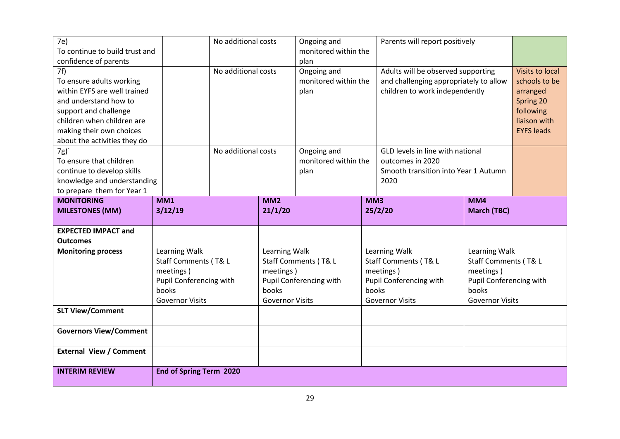| 7e)                            |                         | No additional costs |                        | Ongoing and             |       | Parents will report positively         |                         |                        |  |
|--------------------------------|-------------------------|---------------------|------------------------|-------------------------|-------|----------------------------------------|-------------------------|------------------------|--|
| To continue to build trust and |                         |                     |                        | monitored within the    |       |                                        |                         |                        |  |
| confidence of parents          |                         |                     |                        | plan                    |       |                                        |                         |                        |  |
| 7f)                            |                         | No additional costs |                        | Ongoing and             |       | Adults will be observed supporting     |                         | <b>Visits to local</b> |  |
| To ensure adults working       |                         |                     |                        | monitored within the    |       | and challenging appropriately to allow |                         | schools to be          |  |
| within EYFS are well trained   |                         |                     |                        | plan                    |       | children to work independently         |                         | arranged               |  |
| and understand how to          |                         |                     |                        |                         |       |                                        |                         | Spring 20              |  |
| support and challenge          |                         |                     |                        |                         |       |                                        |                         | following              |  |
| children when children are     |                         |                     |                        |                         |       |                                        |                         | liaison with           |  |
| making their own choices       |                         |                     |                        |                         |       |                                        |                         | <b>EYFS leads</b>      |  |
| about the activities they do   |                         |                     |                        |                         |       |                                        |                         |                        |  |
| 7g)                            |                         | No additional costs |                        | Ongoing and             |       | GLD levels in line with national       |                         |                        |  |
| To ensure that children        |                         |                     |                        | monitored within the    |       | outcomes in 2020                       |                         |                        |  |
| continue to develop skills     |                         |                     |                        | plan                    |       | Smooth transition into Year 1 Autumn   |                         |                        |  |
| knowledge and understanding    |                         |                     |                        |                         |       | 2020                                   |                         |                        |  |
| to prepare them for Year 1     |                         |                     |                        |                         |       |                                        |                         |                        |  |
| <b>MONITORING</b>              | MM1                     |                     | MM <sub>2</sub>        |                         | MM3   |                                        | MM4                     |                        |  |
| <b>MILESTONES (MM)</b>         | 3/12/19                 |                     | 21/1/20                |                         |       | 25/2/20                                | <b>March (TBC)</b>      |                        |  |
|                                |                         |                     |                        |                         |       |                                        |                         |                        |  |
|                                |                         |                     |                        |                         |       |                                        |                         |                        |  |
| <b>EXPECTED IMPACT and</b>     |                         |                     |                        |                         |       |                                        |                         |                        |  |
| <b>Outcomes</b>                |                         |                     |                        |                         |       |                                        |                         |                        |  |
| <b>Monitoring process</b>      | Learning Walk           |                     | Learning Walk          |                         |       | Learning Walk                          | Learning Walk           |                        |  |
|                                | Staff Comments (T& L    |                     |                        | Staff Comments (T& L    |       | Staff Comments (T& L                   | Staff Comments (T& L    |                        |  |
|                                | meetings)               |                     | meetings)              |                         |       | meetings)                              | meetings)               |                        |  |
|                                | Pupil Conferencing with |                     |                        | Pupil Conferencing with |       | Pupil Conferencing with                | Pupil Conferencing with |                        |  |
|                                | books                   |                     | books                  |                         | books |                                        | books                   |                        |  |
|                                | <b>Governor Visits</b>  |                     | <b>Governor Visits</b> |                         |       | <b>Governor Visits</b>                 | <b>Governor Visits</b>  |                        |  |
| <b>SLT View/Comment</b>        |                         |                     |                        |                         |       |                                        |                         |                        |  |
|                                |                         |                     |                        |                         |       |                                        |                         |                        |  |
| <b>Governors View/Comment</b>  |                         |                     |                        |                         |       |                                        |                         |                        |  |
| <b>External View / Comment</b> |                         |                     |                        |                         |       |                                        |                         |                        |  |